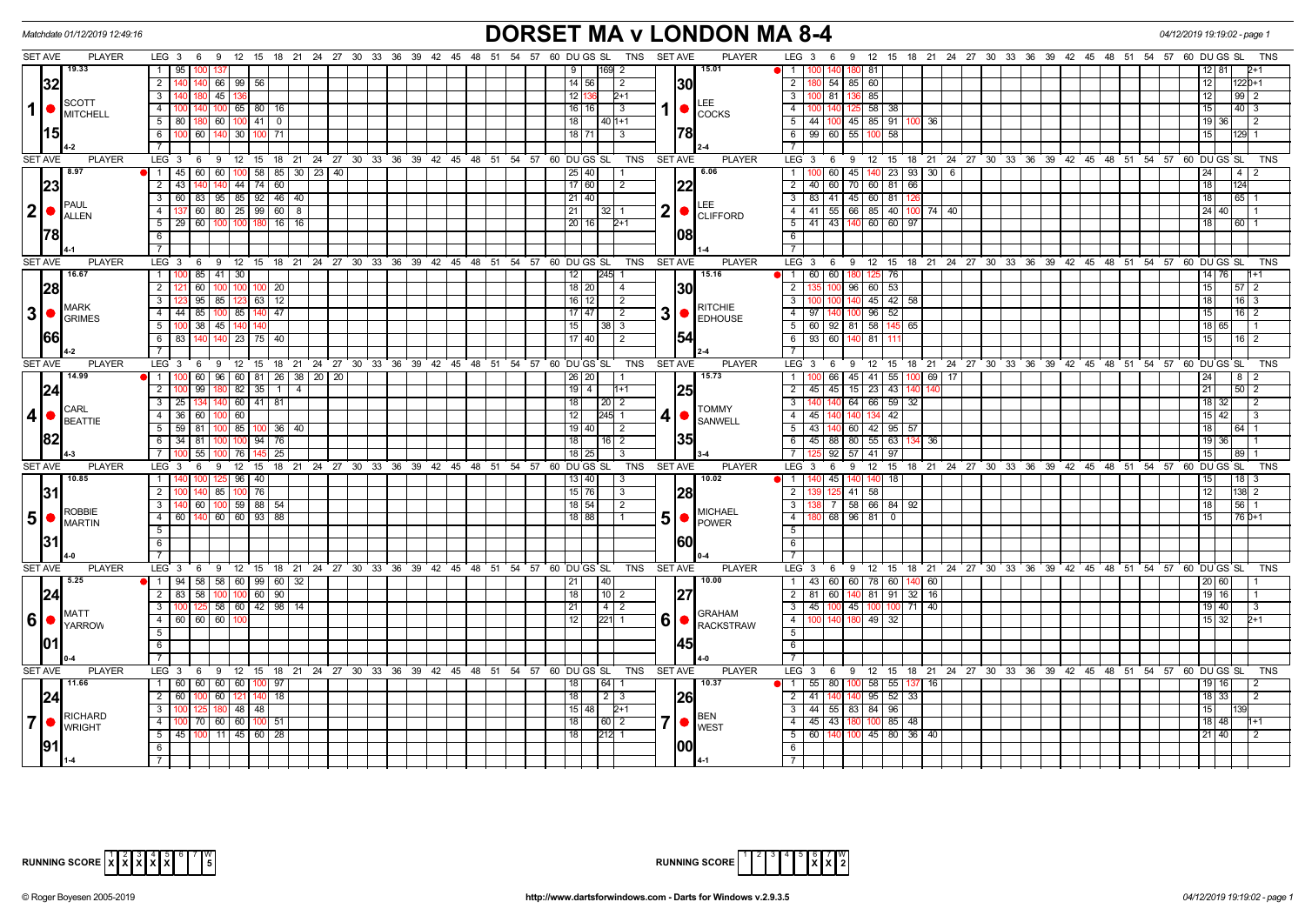| Matchdate 01/12/2019 12:49:16                                                         |                                                                                                 | <b>DORSET MA v LONDON MA 8-4</b>                                      |                                                                                                             | 04/12/2019 19:19:02 - page            |
|---------------------------------------------------------------------------------------|-------------------------------------------------------------------------------------------------|-----------------------------------------------------------------------|-------------------------------------------------------------------------------------------------------------|---------------------------------------|
| <b>SET AVE</b><br><b>PLAYER</b>                                                       | LEG 3 6 9 12 15 18 21 24 27 30 33 36 39 42 45 48 51 54 57                                       | 60 DU GS SL TNS SET AVE<br><b>PLAYER</b>                              | LEG 3 6 9 12 15 18 21 24 27 30 33 36 39 42 45 48 51 54 57 60 DU GS SL                                       | TNS                                   |
| 19.33                                                                                 | $1 \mid 95$                                                                                     | 15.01<br>9<br>169 2                                                   | 81<br>$\overline{1}$<br>100 140                                                                             | 12   81                               |
| 32                                                                                    | 2 <sup>1</sup><br>66 99 56<br>140                                                               | 14 56 <br>1301<br>$\overline{2}$                                      | $\overline{2}$<br>$9$ 54 85 60                                                                              | 12<br>1220+1                          |
| <b>SCOTT</b>                                                                          | $\overline{3}$<br>45 136<br>180                                                                 | 12 136<br>$2+1$<br>LEE                                                | $\overline{3}$<br>100 81 136 85                                                                             | 12<br>$99$ 2                          |
| $\vert$<br>$\bullet$ MITCHELL                                                         | 140 100 65 80 16<br>4                                                                           | 1 ●<br>16   16  <br>$\sqrt{3}$<br><b>COCKS</b>                        | $58$ 38<br>$\overline{4}$<br>140<br>125                                                                     | 15<br>$40 \mid 3$                     |
|                                                                                       | $5 \mid 80$<br>180 60 100 41<br>$\overline{0}$                                                  | 18<br>$140$ 1+1                                                       | $\overline{5}$<br>44 100 45 85 91 100 36                                                                    | 19 36<br>$\overline{2}$               |
| 15                                                                                    | $6 \mid$<br>100 60 140 30<br>100<br>71                                                          | 78 <br>18 71<br>$\vert$ 3                                             | 6<br>99 60 55 100 58                                                                                        | 15<br>129 1                           |
|                                                                                       | $7^{\circ}$                                                                                     |                                                                       | $\overline{7}$                                                                                              |                                       |
| <b>SET AVE</b><br><b>PLAYER</b>                                                       | 9 12 15 18 21 24 27 30 33 36 39 42 45 48 51 54 57 60 DUGS SL<br>LEG <sub>3</sub><br>$6^{\circ}$ | <b>TNS</b><br><b>SET AVE</b><br><b>PLAYER</b>                         | LEG 3 6 9 12 15 18 21 24 27 30 33 36 39 42 45 48 51 54 57 60 DUGS SL                                        | <b>TNS</b>                            |
| 8.97                                                                                  | 60 60 100 58<br>85 30 23 40<br>$1 \mid 45$                                                      | 6.06<br>25 40                                                         | 100 60 45 140 23 93 30 6<br>$\overline{1}$                                                                  | 24<br>4   2                           |
| 23                                                                                    | $2 \mid 43$<br>$140$ 44<br>$74 \mid 60$                                                         | 17 60 <br> 22 <br>$\sqrt{2}$                                          | $\overline{2}$<br>40 60 70 60 81 66                                                                         | 18 <br>124                            |
| PAUL                                                                                  | 3   60   83   95   85   92   46   40                                                            | 21 40                                                                 | $\overline{3}$<br>83 41 45 60 81<br>126                                                                     | 18 <br>  65   1                       |
| $ 2  \bullet$<br><b>ALLEN</b>                                                         | $4$   137   60   80   25   99   60   8                                                          | 2<br>21<br> 32 1<br><b>CLIFFORD</b>                                   | 41 55 66 85 40 100 74 40<br>$\overline{4}$                                                                  | 24 40                                 |
|                                                                                       | $5 \mid 29 \mid 60 \mid 100 \mid 100 \mid 180$<br>$16$ 16                                       | 20 16 <br>$2+1$                                                       | 5 <sup>5</sup><br>41 43 140 60 60 97                                                                        | 18<br>l 60 l                          |
| 178                                                                                   | 6                                                                                               | 081                                                                   | 6                                                                                                           |                                       |
|                                                                                       |                                                                                                 |                                                                       | $\overline{7}$                                                                                              |                                       |
| <b>SET AVE</b><br><b>PLAYER</b>                                                       | ີ 12<br>15 18 21<br>24 27 30 33 36 39<br>42 45 48 51<br>LEG <sub>3</sub><br>6<br>9              | 54 57<br>60 DU GS SL<br><b>TNS</b><br><b>SET AVE</b><br><b>PLAYER</b> | LEG <sub>3</sub><br>12 15<br>18  21  24  27  30  33  36  39  42  45  48  51  54  57  60  DUGS  SL<br>9<br>6 | <b>TNS</b>                            |
| 16.67                                                                                 | 1<br>85<br>$41 \mid 30$                                                                         | 15.16<br>12<br>245                                                    | 60 60<br>$\overline{1}$<br>76<br>180                                                                        | $14$ 76<br>$11+1$                     |
| 28                                                                                    | 2 <sup>1</sup><br>60<br>20<br>100 I                                                             | 18   20  <br>1301<br>$\vert$ 4                                        | $\overline{2}$<br>96 60 53                                                                                  | 15<br>$57$   2                        |
| <b>MARK</b>                                                                           | 3 <sup>1</sup><br>$95 \mid 85 \mid 123 \mid 63 \mid 12$                                         | 16 12 <br>$\sqrt{2}$<br><b>RITCHIE</b>                                | $\overline{3}$<br>$45$ $42$ 58<br>100 100 140                                                               | 18 <br>$16 \mid 3$                    |
| $3 \cdot \text{GRIMES}$                                                               | 4<br>85<br>$100$ 85<br>140<br>47<br>44                                                          | 3<br>$17$ 47<br>2<br><b>EDHOUSE</b>                                   | $\overline{4}$<br>96 52<br>97 I                                                                             | 15<br>$16$   2                        |
|                                                                                       | 38<br>5 <sub>1</sub><br>45 140<br>140                                                           | 15<br>$38 \mid 3$                                                     | 5<br>60 92 81 58<br>65<br>145                                                                               | 18 65                                 |
| 1661                                                                                  | $75 \mid 40$<br>6 83<br>140<br>$140$ 23                                                         | 154<br>  17   40  <br>$\sqrt{2}$                                      | 6<br>93 60 140<br>81                                                                                        | 15<br>16 2                            |
|                                                                                       | $7\overline{ }$                                                                                 |                                                                       | $\overline{7}$                                                                                              |                                       |
| <b>SET AVE</b><br><b>PLAYER</b><br>14.99                                              | LEG 3 6 9 12 15 18 21 24 27 30 33 36 39 42 45 48 51 54 57 60 DUGS SL                            | <b>PLAYER</b><br>TNS<br>SET AVE<br>15.73                              | LEG 3 6 9 12 15 18 21 24 27 30 33 36 39 42 45 48 51 54 57 60 DUGS SL                                        | TNS                                   |
|                                                                                       | 1 <sup>1</sup><br>60<br>96 60 81<br>26 38<br>20<br>20<br>99 I<br>- 1 I<br>$\overline{4}$        | $26$   $20$                                                           | 66 45 41 55<br>$\overline{1}$<br>69<br>100<br>17                                                            | 24<br>-8 I                            |
| 24                                                                                    | 2 <sup>1</sup><br>180 82<br>35<br>3 <sup>1</sup><br>25<br>140 60<br>41<br>81                    | <b>25</b><br>$19$   4<br>l1+1<br>18                                   | $\overline{2}$<br>45 45 15 23 43<br>140 140 64 66 59<br>$\overline{3}$<br>32                                | 21<br>$50$   2<br>18<br>$\frac{1}{2}$ |
| CARL<br>$\vert$ 4                                                                     | $4 \overline{36}$<br>60<br>100 60                                                               | $\vert 20 \vert 2$<br><b>TOMMY</b><br>12<br>245 1                     | $\overline{4}$<br>140<br>134 42<br>45<br>140                                                                | 15 42 <br>$\vert$ 3                   |
| BEATTIE                                                                               | 5 59 81<br>100   85  <br>36 I 40<br>100                                                         | 4 <br><b>SANWELL</b><br>19 40<br>l 2                                  | $5\overline{)}$<br>43<br>42 95 57<br>140 60                                                                 | 18<br>64 I                            |
| 182                                                                                   | 6 34 81<br>94<br>76<br>1001 100                                                                 | I35I<br>  18  <br>  16   2                                            | 6<br>45 88 80 55 63<br>- 36                                                                                 | 19 36                                 |
|                                                                                       | 55<br>7 I<br>76<br>25                                                                           | 18<br>$\mathbf{R}$                                                    | $\overline{7}$<br>$92 \mid 57$<br>41 97                                                                     | 15<br>89                              |
| <b>SET AVE</b><br><b>PLAYER</b>                                                       | LEG <sub>3</sub><br>18 21 24 27 30 33 36 39 42 45 48 51<br>- 6<br>- 9<br>12 15                  | 54 57<br>60 DU GS SL<br><b>TNS</b><br><b>SET AVE</b><br><b>PLAYER</b> | LEG <sub>3</sub><br>12 15 18 21 24 27 30 33 36 39 42 45 48 51 54 57<br>6<br>9                               | 60 DU GS SL<br><b>TNS</b>             |
| 10.85                                                                                 | $125$ 96 40<br>1 140<br>100                                                                     | 10.02<br>13 40 <br>  3                                                | $\overline{1}$<br>45 140<br>18                                                                              | $18$ 3<br>15                          |
| 31                                                                                    | 2 <sup>1</sup><br>85 100<br>76                                                                  | $15$ 76<br> 28 <br>$\overline{\mathbf{3}}$                            | $\overline{2}$<br>125 41<br>58                                                                              | 12 <br>$138$ 2                        |
|                                                                                       | 60 100 59 88 54<br>3 <sup>1</sup><br>140                                                        | 18 54 <br>$\vert$ 2                                                   | $\overline{3}$<br>7 58 66 84 92                                                                             | 18<br>56 1                            |
| <b>ROBBIE</b><br>$\vert 5 \vert \bullet \vert_{\text{MARTIN}}^{\text{\tiny{KUBDIC}}}$ | 4   60   140   60   60   93   88                                                                | <b>MICHAEL</b><br>5 <sup>1</sup><br>18 88<br>POWER                    | 68 96 81 0<br>$\overline{4}$                                                                                | 15<br>76 0+1                          |
|                                                                                       | 5 <sup>5</sup>                                                                                  |                                                                       | $\overline{5}$                                                                                              |                                       |
| 131                                                                                   | 6                                                                                               | 160                                                                   | $6\overline{6}$                                                                                             |                                       |
|                                                                                       | $\overline{7}$                                                                                  |                                                                       | $\overline{7}$                                                                                              |                                       |
| <b>SET AVE</b><br><b>PLAYER</b>                                                       | $LEG_36$<br>9 12 15 18 21 24 27 30 33 36 39 42 45 48 51 54 57 60 DUGS SL                        | TNS<br><b>SET AVE</b><br><b>PLAYER</b>                                | 6 9 12 15 18 21 24 27 30 33 36 39 42 45 48 51 54 57 60 DUGS SL<br>LEG <sub>3</sub>                          | <b>TNS</b>                            |
| 5.25                                                                                  | 1   94   58   58   60   99   60   32                                                            | 10.00<br>21<br>40                                                     | 43 60 60 78 60 140 60<br>$\overline{1}$                                                                     | 20 60                                 |
| 24                                                                                    | 58<br>100 100 60<br>$2 \mid 83$<br>90                                                           | 27 <br>18<br> 10 2                                                    | $\overline{2}$<br>81 60 140 81 91 32 16                                                                     | 19 16                                 |
| <b>MATT</b>                                                                           | $3   100   125   58   60   42   98   14$                                                        | 21<br>$\vert 4 \vert 2$<br><b>GRAHAM</b>                              | $\overline{3}$<br>45 100 45 100 100 71 40                                                                   | 19 40                                 |
| 6 <sup>1</sup><br>$\big \bullet\big _{\mathsf{YARROW}}$                               | 4 60 60 60                                                                                      | 6<br>12<br>221<br>RACKSTRAW                                           | $\overline{4}$<br>49<br>100 140<br>1R<br>32                                                                 | 15 <sup>1</sup>                       |
|                                                                                       | $5\overline{)}$                                                                                 |                                                                       | 5                                                                                                           |                                       |
| 101                                                                                   | 6                                                                                               | I45I                                                                  | 6                                                                                                           |                                       |
|                                                                                       | $\overline{7}$                                                                                  |                                                                       |                                                                                                             |                                       |
| <b>SET AVE</b><br><b>PLAYER</b><br>11.66                                              | LEG 3 6 9 12 15 18 21 24 27 30 33 36 39 42 45 48 51 54 57 60 DUGS SL                            | <b>PLAYER</b><br>TNS SET AVE<br>10.37                                 | LEG 3 6 9 12 15 18 21 24 27 30 33 36 39 42 45 48 51 54 57 60 DUGS SL                                        | <b>TNS</b>                            |
|                                                                                       | 1 60 60 60 60 100<br>97                                                                         | 64 1<br>18 <sup>1</sup>                                               | 55 80 100 58 55 137<br>$\overline{1}$<br>  16                                                               | 19   16                               |
|                                                                                       | $2 \mid 60$<br>100 60 121<br>140<br>18<br>3 <sup>1</sup><br>180 48<br>48                        | 18<br>$2 \mid 3$<br>I261<br>15 48 <br>$2+1$                           | 41 140 140 95 52 33<br>$\overline{2}$<br>$\overline{\mathbf{3}}$<br>44 55 83 84 96                          | $18$ 33<br>$\overline{2}$<br>15       |
| RICHARD<br>$\overline{7}$                                                             | 4   100   70   60   60  <br>$100$ 51                                                            | <b>BEN</b><br>7 <br> 18 <br> 60 2                                     | 4 4 45 43 180 100 85 48                                                                                     | 18 48                                 |
| <b>WRIGHT</b>                                                                         | $5 \mid 45 \mid 100 \mid 11 \mid 45 \mid 60 \mid 28$                                            | <b>I</b> WEST<br> 18 <br>$212$ 1                                      | $5\overline{)}$<br>60 140 100 45 80 36 40                                                                   | $11+1$<br>21 40<br>$\frac{1}{2}$      |
|                                                                                       | 6                                                                                               | 1001                                                                  | 6                                                                                                           |                                       |
|                                                                                       |                                                                                                 |                                                                       | $\overline{7}$                                                                                              |                                       |



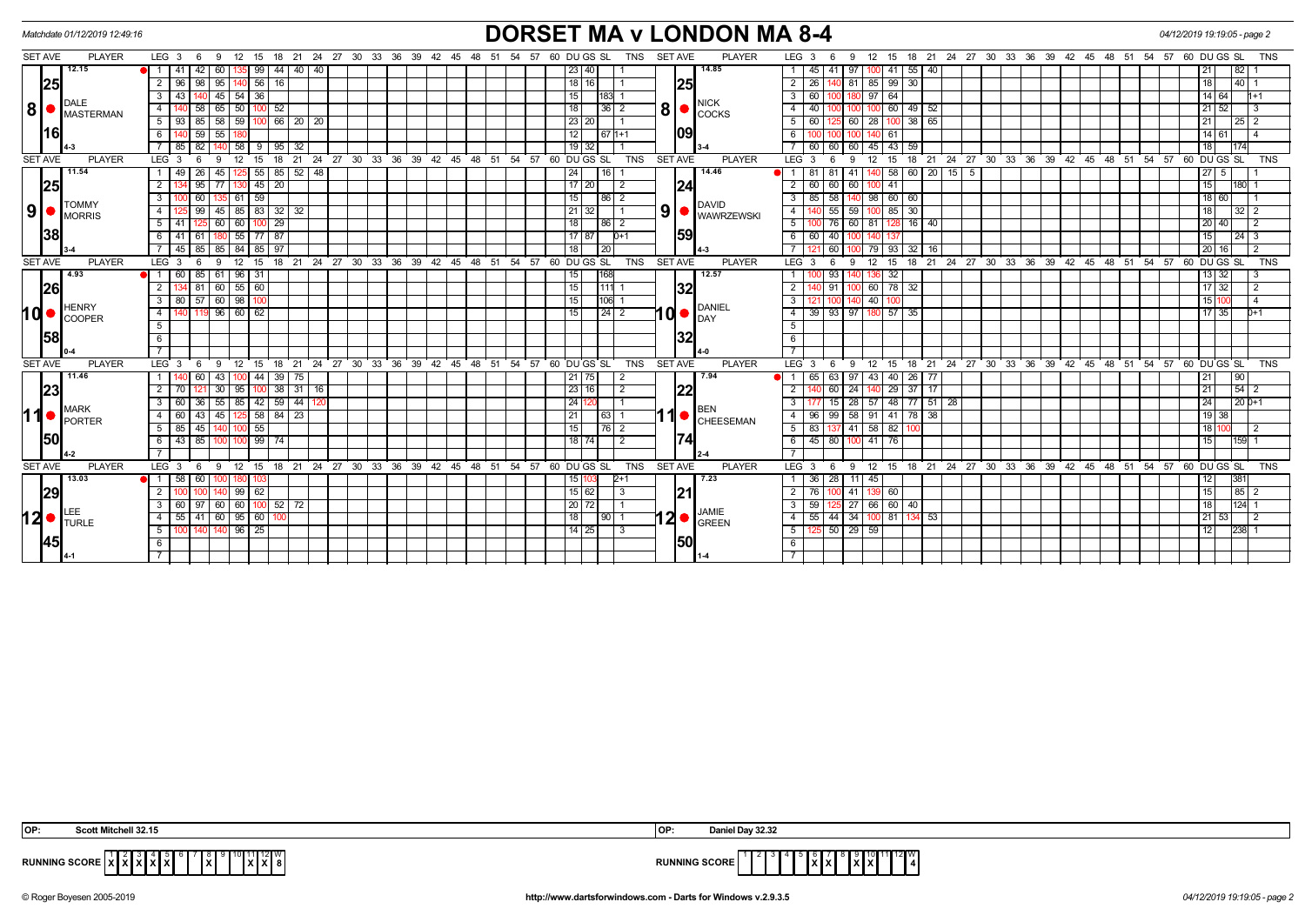## *Matchdate 01/12/2019 12:49:16* **DORSET MA v LONDON MA 8-4** *04/12/2019 19:19:05 - page 2*

| <b>SET AVE</b>  |                                 | <b>PLAYER</b> | LEG <sub>3</sub><br>$6\overline{6}$<br>-9 |                                          |                    |              |    |  |  |  | 12 15 18 21 24 27 30 33 36 39 42 45 48 51 54 57 60 DU GS SL<br>TNS | <b>SET AVE</b> | <b>PLAYER</b>                     | 12 15 18 21 24 27 30 33 36 39 42 45 48 51 54 57 60 DUGS SL<br>LEG 3<br>-6<br>9        | <b>TNS</b>                                            |
|-----------------|---------------------------------|---------------|-------------------------------------------|------------------------------------------|--------------------|--------------|----|--|--|--|--------------------------------------------------------------------|----------------|-----------------------------------|---------------------------------------------------------------------------------------|-------------------------------------------------------|
|                 | 12.15                           |               | 42<br>60                                  |                                          | 99                 | 44 40 40     |    |  |  |  | 23 40                                                              |                | 14.85                             | 55<br>45<br>97<br> 40<br>41 I                                                         | 82                                                    |
|                 | 25                              |               | $\overline{2}$<br>96<br>98                | $95$   140   56                          | 16                 |              |    |  |  |  | 18 16                                                              | 25             |                                   | 30<br>26<br>81<br>85<br>99                                                            | 40<br>18                                              |
|                 |                                 |               | 43<br>3<br>140                            | $45 \mid 54 \mid 36$                     |                    |              |    |  |  |  | 15<br>183 1                                                        |                |                                   | 60<br>97<br>64<br>180                                                                 | 14 64 <br>l1+1                                        |
| 8 •             | <b>DALE</b><br><b>MASTERMAN</b> |               | $\overline{4}$<br>58<br>65                | 50                                       | 52<br>100          |              |    |  |  |  | 18 <br> 36 2                                                       | 8 <sup>1</sup> | <b>NICK</b><br><b>COCKS</b>       | 40<br>49<br>60<br>52<br>100                                                           | 21 52                                                 |
|                 |                                 |               | 5 <sup>5</sup><br>-93 I<br>85             | $58$   $59$   $100$   $66$   $20$   $20$ |                    |              |    |  |  |  | 23 20                                                              |                |                                   | 60<br>28<br>100 38 65<br>60                                                           | 21<br>25                                              |
|                 | 16                              |               | 6<br>59<br>55                             |                                          |                    |              |    |  |  |  | 12<br>67 1+1                                                       | 109            |                                   | 100<br>61                                                                             | 14 61                                                 |
|                 |                                 |               | 82<br>85                                  | 58                                       | 9                  | 95 32        |    |  |  |  | $19$ 32                                                            |                |                                   | 60<br>60<br>45<br>43 <sup>1</sup><br>59<br>60                                         | 174<br>18 I                                           |
| <b>SET AVE</b>  |                                 | <b>PLAYER</b> | LEG <sub>3</sub>                          | 12                                       | 18<br>15           | 21           |    |  |  |  | 24 27 30 33 36 39 42 45 48 51 54 57 60 DUGS SL<br><b>TNS</b>       | <b>SET AVE</b> | <b>PLAYER</b>                     | 18<br>21<br>12<br>-9<br>15<br>6                                                       | 24 27 30 33 36 39 42 45 48 51 54 57 60 DUGS SL<br>TNS |
|                 | 11.54                           |               | 26<br>49                                  | 45   125   55   85   52   48             |                    |              |    |  |  |  | 24<br>16 I                                                         |                | 14.46                             | 60 20<br>41<br>58<br>$15 \mid 5$<br>81<br>-8                                          | $\sqrt{27}$ 5                                         |
|                 | 25                              |               | 95<br>2<br>77                             |                                          | 45 <br>20          |              |    |  |  |  | $17$ 20<br>$\overline{2}$                                          | 24             |                                   | 60<br>60<br>60<br>41                                                                  | 180<br>15 <sub>l</sub>                                |
|                 |                                 |               | 60<br>3                                   | $135$ 61 59                              |                    |              |    |  |  |  | 15<br>$86 \mid 2$                                                  |                |                                   | 85<br>58<br>140 98 60 60                                                              | 18 60                                                 |
| 9  <sub>o</sub> | <b>TOMMY</b><br><b>MORRIS</b>   |               | 99<br>$\overline{4}$<br>45                | 85                                       | 83<br>$32 \mid 32$ |              |    |  |  |  | $21 \overline{32}$                                                 | 9 <sup>1</sup> | <b>DAVID</b><br><b>WAWRZEWSKI</b> | 30<br>59<br>85 I<br>55                                                                | 32                                                    |
|                 |                                 |               | 5 <sup>5</sup><br>41<br>125               | 60 60                                    | 29<br>100          |              |    |  |  |  | 18<br>86 2                                                         |                |                                   | 60<br>$128$ 16 40<br>81<br>76                                                         | 20 40                                                 |
|                 | 38                              |               | 41 61<br>6                                | 55 77                                    | 87                 |              |    |  |  |  | 17 87<br>$D+1$                                                     | 59             |                                   | 60<br>40<br>100                                                                       | 24 3                                                  |
|                 |                                 |               | 85<br>85<br>45 I                          | 84 l                                     | 85<br>97           |              |    |  |  |  | 18<br>20                                                           |                |                                   | 60<br>79<br>93<br>32<br>- 16                                                          | l 20 I 16 I                                           |
| <b>SET AVE</b>  |                                 | <b>PLAYER</b> | LEG <sub>3</sub><br>-6<br>9               | 12                                       | 15                 |              |    |  |  |  | 18 21 24 27 30 33 36 39 42 45 48 51 54 57 60 DUGS SL<br><b>TNS</b> | <b>SET AVE</b> | <b>PLAYER</b>                     | 15 18 21 24 27 30 33 36 39 42 45 48 51 54 57 60 DUGS SL<br>12<br>6<br>-9              | <b>TNS</b>                                            |
|                 | 4.93                            |               | 85<br>$\overline{1}$                      | 61   96   31                             |                    |              |    |  |  |  | 15<br>168                                                          |                | 12.57                             | 32<br>93                                                                              | 13 32                                                 |
|                 | 26                              |               | $4 \overline{81}$<br>2                    | $60$ 55 60                               |                    |              |    |  |  |  | 15<br>1111                                                         | 32             |                                   | 60<br>78<br>32<br>91<br>100                                                           | 17 32                                                 |
|                 |                                 |               | 80 57 60 98 100<br>$\mathbf{3}$           |                                          |                    |              |    |  |  |  | 15 <br>$ 106 $ 1                                                   |                |                                   | 100 140 40<br>121 I                                                                   | 15 100<br>$\overline{a}$                              |
| <b>hd•</b>      | HENRY<br><b>COOPER</b>          |               | 4<br>119                                  | 96   60   62                             |                    |              |    |  |  |  | 15                                                                 | <b>d•</b>      | <b>DANIEL</b><br>DAY              | 39<br>93 97<br>57 35<br>180                                                           | 17 35 <br>$D+1$                                       |
|                 |                                 |               | $5\overline{5}$                           |                                          |                    |              |    |  |  |  |                                                                    |                |                                   |                                                                                       |                                                       |
|                 | 58                              |               | 6                                         |                                          |                    |              |    |  |  |  |                                                                    | 32             |                                   |                                                                                       |                                                       |
|                 |                                 |               |                                           |                                          |                    |              |    |  |  |  |                                                                    |                |                                   |                                                                                       |                                                       |
| <b>SET AVE</b>  |                                 | <b>PLAYER</b> | LEG <sub>3</sub><br>- 6<br>9              | 12                                       | 15                 |              |    |  |  |  | 18 21 24 27 30 33 36 39 42 45 48 51 54 57 60 DUGS SL<br><b>TNS</b> | <b>SET AVE</b> | <b>PLAYER</b>                     | 15 18 21 24 27 30 33 36 39 42 45 48 51 54 57 60 DUGS SL<br>12<br>6<br>9               | <b>TNS</b>                                            |
|                 | 11.46                           |               | 60<br>-1                                  | 43 100 44                                |                    | $39 \mid 75$ |    |  |  |  | 21 75<br>-2                                                        |                | 7.94                              | 40 26 77<br>97<br>43<br>65<br>63                                                      | 90                                                    |
|                 | 23                              |               | 2<br>30                                   | 95                                       | 100                | 38   31      | 16 |  |  |  | 23 16 <br>$\overline{2}$                                           | 22             |                                   | 24<br>29<br>37<br>60<br>17                                                            | 54 2<br>  21                                          |
|                 |                                 |               | 3<br>36                                   | 55   85   42   59   44   120             |                    |              |    |  |  |  | 24 120                                                             |                |                                   | 28<br>57<br>48 77 51<br>28<br>15 <sup>1</sup>                                         | $20D+1$<br>24                                         |
| 11              | <b>MARK</b><br><b>PORTER</b>    |               | 43<br>$\overline{4}$<br>60<br>45 I        |                                          | 125 58 84 23       |              |    |  |  |  | 21<br>  63   1                                                     |                | BEN<br><b>CHEESEMAN</b>           | 58<br>96<br>99<br>91<br>41 78 38                                                      | $19$ 38                                               |
|                 |                                 |               | 45<br>85<br>5                             |                                          | 55                 |              |    |  |  |  | 15<br>76 2                                                         |                |                                   | 58<br>83<br>41<br>82                                                                  | 18 110                                                |
|                 | 150                             |               | 43 85<br>6                                | 100 100 99 74                            |                    |              |    |  |  |  | 18 74 <br>$\overline{2}$                                           | 174            |                                   | 45 80 100 41<br>76                                                                    | 159                                                   |
|                 | $4 - 2$                         |               |                                           |                                          |                    |              |    |  |  |  |                                                                    |                |                                   |                                                                                       |                                                       |
| <b>SET AVE</b>  |                                 | <b>PLAYER</b> | LEG <sub>3</sub><br>6<br>9                |                                          |                    |              |    |  |  |  | 12 15 18 21 24 27 30 33 36 39 42 45 48 51 54 57 60 DUGS SL<br>TNS  | <b>SET AVE</b> | <b>PLAYER</b>                     | 9 12 15 18 21 24 27 30 33 36 39 42 45 48 51 54 57 60 DUGS SL<br>LEG <sub>3</sub><br>6 | <b>TNS</b>                                            |
|                 | 13.03                           |               | 58<br>60<br>$\blacksquare$                |                                          | 103                |              |    |  |  |  | 15   103<br>$2+1$                                                  |                | 7.23                              | 36<br>28<br>11<br>45                                                                  | 38                                                    |
|                 | 29                              |               |                                           | 99   62                                  |                    |              |    |  |  |  | 15 62                                                              | 121            |                                   | 76<br>41<br>60                                                                        | 85                                                    |
|                 |                                 |               | 97<br>3                                   | 60 60 1                                  | $100$ 52 $72$      |              |    |  |  |  | 20 72                                                              |                | JAMIE                             | 59<br>27<br>66<br>60 40                                                               | 124                                                   |
| 12●             | <b>ITURLE</b>                   |               | 55<br>41<br>4                             | 60 95 60                                 |                    |              |    |  |  |  | 18<br> 90 1                                                        | י2∣            | <b>GREEN</b>                      | $44 \overline{)34}$<br>55<br>81<br>134 53<br>100                                      | 53                                                    |
|                 |                                 |               | 5<br>14(                                  | $96$   25                                |                    |              |    |  |  |  | 14 25<br>l 3                                                       |                |                                   | $50$ 29 59<br>125                                                                     | 238<br>12 <sub>l</sub>                                |
|                 | 45                              |               | 6                                         |                                          |                    |              |    |  |  |  |                                                                    | 150            |                                   |                                                                                       |                                                       |
|                 |                                 |               |                                           |                                          |                    |              |    |  |  |  |                                                                    |                |                                   |                                                                                       |                                                       |

| OP:                  | Scott Mitchell 32.15                                                                                                                                   | <b>IOP</b>   | Daniel Dav | 00.QQ<br>ےد. ےد |
|----------------------|--------------------------------------------------------------------------------------------------------------------------------------------------------|--------------|------------|-----------------|
| <b>RUNNING SCORE</b> | ັ<br>.<br><u>.</u><br>.<br>1.7.1.7<br>$\overline{\phantom{a}}$<br>ם ו<br>́<br>$\cdot$ .<br>$\overline{\phantom{a}}$<br>. .<br>$\overline{\phantom{a}}$ | <b>SCORE</b> |            | -               |

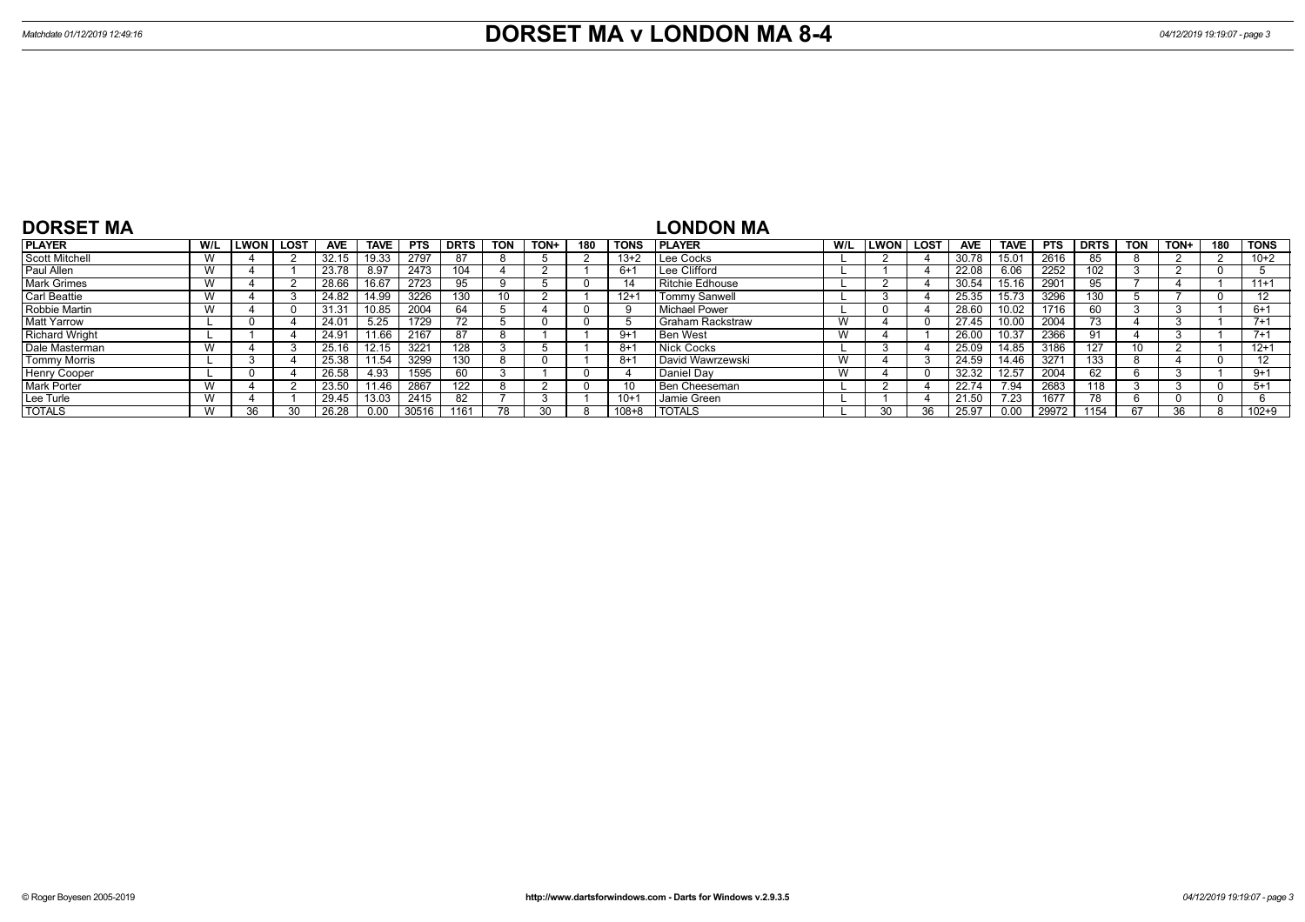| <b>DORSET MA</b>      |     |      |      |            |             |            |             |              |       |     |             | <b>LONDON MA</b>     |     |             |          |            |                |            |             |            |             |     |             |
|-----------------------|-----|------|------|------------|-------------|------------|-------------|--------------|-------|-----|-------------|----------------------|-----|-------------|----------|------------|----------------|------------|-------------|------------|-------------|-----|-------------|
| <b>PLAYER</b>         | W/L | LWON | LOST | <b>AVE</b> | <b>TAVE</b> | <b>PTS</b> | <b>DRTS</b> | <b>TON</b>   | TON+, | 180 | <b>TONS</b> | <b>I PLAYER</b>      | W/L | <b>LWON</b> | LOST     | <b>AVE</b> | <b>TAVE</b>    | <b>PTS</b> | <b>DRTS</b> | <b>TON</b> | <b>TON-</b> | 180 | <b>TONS</b> |
| <b>Scott Mitchell</b> | W   |      |      | 32.15      | 19.33       | 2797       |             |              |       |     | $13+2$      | Lee Cocks            |     |             |          | 30.78      | $15.0^{\circ}$ | 2616       | 85          |            |             |     | $10+2$      |
| Paul Allen            | W   |      |      | 23.78      | 8.97        | 2473       | 104         |              |       |     | $6+$        | Lee Clifford         |     |             |          | 22.08      | 6.06           | 2252       | 102         |            |             |     |             |
| <b>Mark Grimes</b>    | W   |      |      | 28.66      | 16.67       | 2723       | 95          |              |       |     |             | Ritchie Edhouse      |     |             |          | 30.54      | 15.16          | 2901       |             |            |             |     | $11+1$      |
| <b>Carl Beattie</b>   | W   |      |      | 24.82      | 14.99       | 3226       | 130         |              |       |     | $12 +$      | <b>Tommy Sanwell</b> |     |             |          | 25.35      | 15.73          | 3296       | 130         |            |             |     | 12          |
| Robbie Martin         | W   |      |      | 31.31      | 10.85       | 2004       | 64          |              |       |     |             | l Michael Power      |     |             |          | 28.60      | 10.02          | 1716       | -60         |            |             |     | 6+1         |
| <b>Matt Yarrow</b>    |     |      |      | 24.01      | 5.25        | 1729       |             |              |       |     |             | Graham Rackstraw     | W   |             | $\Omega$ | 27.45      | 10.00          | 2004       | 73          |            |             |     | $7 + 1$     |
| <b>Richard Wright</b> |     |      |      | 24.91      | 11.66       | 2167       | 87          | <sup>o</sup> |       |     | $9+1$       | l Ben West           | W   |             |          | 26.00      | 10.37          | 2366       | 91          |            |             |     | $7+1$       |
| Dale Masterman        | W   |      |      | 25.16      | 12.15       | 3221       | 128         |              |       |     | $8+$        | l Nick Cocks         |     |             |          | 25.09      | 14.85          | 3186       | 127         | 10         |             |     | $12+1$      |
| <b>Tommy Morris</b>   |     |      |      | 25.38      | 11.54       | 3299       | 130         |              |       |     | 8+          | David Wawrzewski     | W   |             |          | 24.59      | 14.46          | 3271       | 133         |            |             |     | 12          |
| <b>Henry Cooper</b>   |     |      |      | 26.58      | 4.93        | 1595       | 60          |              |       |     |             | Daniel Dav           | W   |             | $\Omega$ | 32.32      | 12.57          | 2004       | 62          |            |             |     | 9+1         |
| <b>Mark Porter</b>    | W   |      |      | 23.50      | $11.46$ ,   | 2867       | 122         |              |       |     |             | Ben Cheeseman        |     |             |          | 22.74      | 7.94           | 2683       | 118         |            |             |     | $5+1$       |
| Lee Turle             | W   |      |      | 29.45      | 13.03       | 2415       | 82          |              |       |     | $10+$       | Jamie Green          |     |             |          | 21         | 7.23           | 1677       |             |            |             |     |             |
| <b>TOTALS</b>         | W   | วค   |      | 26.28      |             | 30516      |             |              |       |     | $108 + 8$   | <b>TOTALS</b>        |     | חר          |          |            | 0.00           | 29972      | 1154        |            | 36          |     | $102 + 9$   |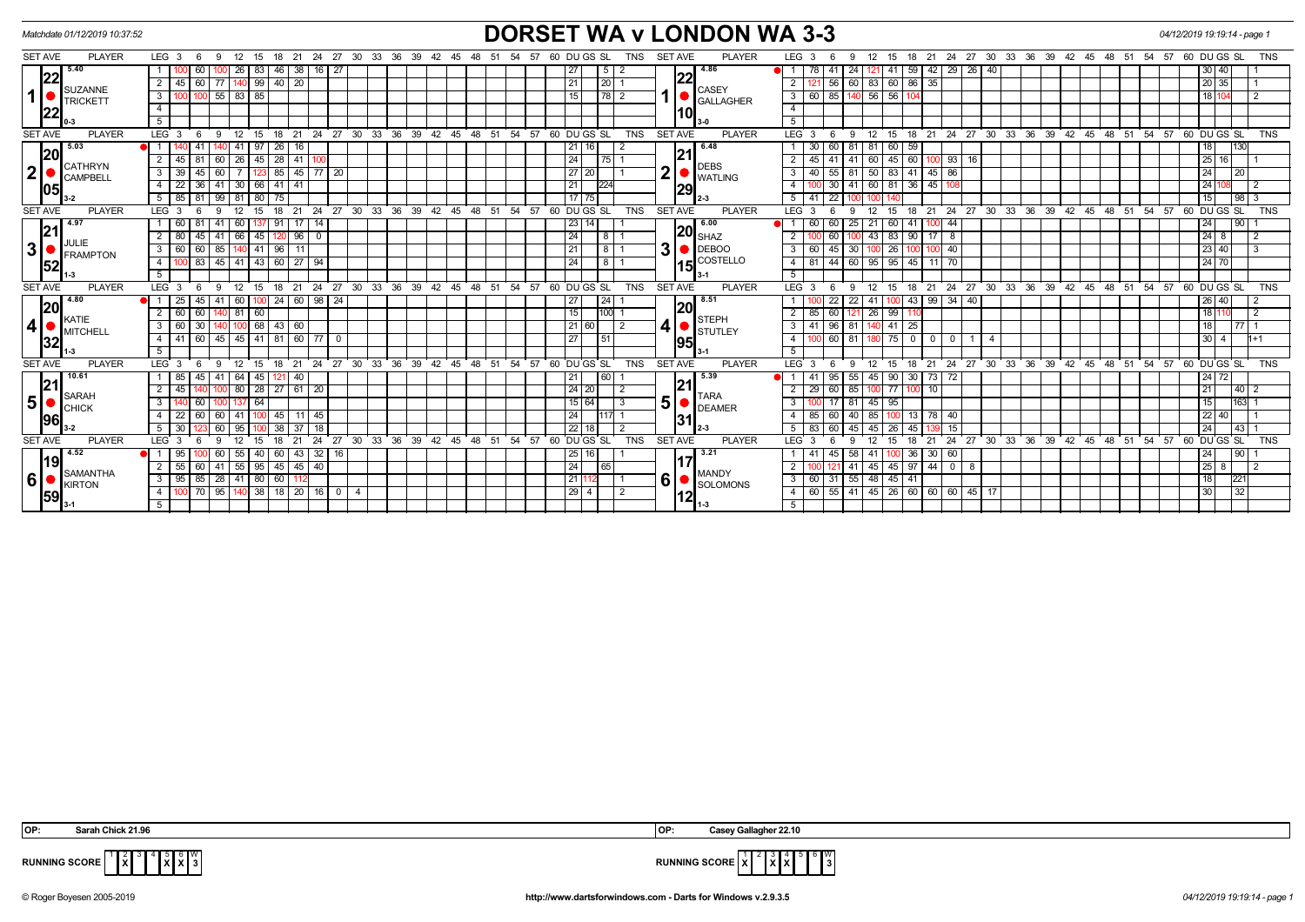| Matchdate 01/12/2019 10:37:52                |                                                                           |                                                                                    | <b>DORSET WA v LONDON WA 3-3</b>                                                                                      | 04/12/2019 19:19:14 - page 1                            |
|----------------------------------------------|---------------------------------------------------------------------------|------------------------------------------------------------------------------------|-----------------------------------------------------------------------------------------------------------------------|---------------------------------------------------------|
| <b>SET AVE</b><br><b>PLAYER</b>              | LEG <sub>3</sub><br>12<br>18<br>15                                        | 21 24 27 30 33 36 39 42 45 48 51 54 57 60 DUGS SL<br>TNS                           | <b>SET AVE</b><br><b>PLAYER</b><br>LEG <sub>3</sub><br>24 27 30 33 36 39 42 45<br>21<br>12<br>15<br>18                | 60 DU GS SL<br>48 51<br>54<br>57<br>TNS                 |
| 5.40                                         | 26<br>83   46<br>38<br>60<br>$16 \mid 27$                                 | $\sqrt{5}$ 2<br>27                                                                 | 4.86<br>59<br>42 29 26<br>40<br>24<br>  41<br>41<br>121.                                                              | 30 40                                                   |
| 22                                           | 99   40   20<br>60<br>2 <sup>1</sup><br>45<br>140<br>-77 I                | 20 <br>l 21                                                                        | 22<br>60 86 35<br>60<br>56<br>83<br>$\overline{2}$                                                                    | 20 35                                                   |
| SUZANNE<br>1<br><b>TRICKETT</b>              | 85<br>$55 \mid 83 \mid$<br>3   100   100                                  | $\overline{78}$ $\overline{2}$<br>15                                               | CASEY<br>56<br>$56$ 104<br>$\overline{\mathbf{3}}$<br>60 85<br>140<br><b>GALLAGHER</b>                                | 18 104                                                  |
| 22                                           | 4                                                                         |                                                                                    | $\overline{4}$<br>10                                                                                                  |                                                         |
|                                              | 5 <sub>1</sub>                                                            |                                                                                    | 5 <sup>5</sup>                                                                                                        |                                                         |
| <b>PLAYER</b><br><b>SET AVE</b>              | LEG $3\overline{6}$<br>12<br>-9<br>15                                     | 18 21 24 27 30 33 36 39 42 45 48 51 54 57 60 DUGS SL<br><b>TNS</b>                 | <b>PLAYER</b><br>18 21 24 27 30 33 36 39 42 45 48 51 54 57<br><b>SET AVE</b><br>LEG 3<br>12<br>9<br>15<br>- 6         | 60 DU GS SL<br><b>TNS</b>                               |
| 5.03                                         | 41<br> 26 <br>-41<br>97<br>16                                             | 16 I<br>211                                                                        | 6.48<br>60<br>30 <sup>1</sup><br>59<br>  60  <br>-81<br>81                                                            | 130<br>18                                               |
| 20                                           | 60   26   45   28   41   100<br>$2^{\circ}$<br>45<br>81                   | 24<br>175                                                                          | 21 <br>45 60 100 93 16<br>$\overline{2}$<br>$45 \mid 41$<br>60<br>41<br><b>DEBS</b>                                   | 25 16                                                   |
| CATHRYN<br>2 <sup>1</sup><br><b>CAMPBELL</b> | 85 45 77 20<br>$3 \mid 39$<br>60<br>45<br>$\overline{7}$<br>123           | 27   20                                                                            | $\overline{2}$<br>83 41 45 86<br>3<br>55<br>81<br>50<br>40<br><b>WATLING</b>                                          | 24<br>20                                                |
| 05                                           | $4 \mid 22$<br>36<br>$41 \overline{\phantom{0}} 30$<br>66 41 41           | 21<br>1224                                                                         | 81 36 45 108<br>$\overline{4}$<br>41<br>60<br>30<br> 29                                                               | 24                                                      |
|                                              | $5 \mid 85$<br>81<br>80 75<br>99   81                                     | 17   75                                                                            | 5 <sup>5</sup><br>41<br>22                                                                                            | 98<br>15                                                |
| <b>SET AVE</b><br><b>PLAYER</b>              | $\cdot$ 27<br>21<br>24<br>30<br>LEG <sub>3</sub><br>15<br>18              | 39<br><b>TNS</b><br>33<br>36<br>42<br>48<br>51<br>54<br>57<br>60 DU GS SL<br>$-45$ | <b>PLAYER</b><br><b>SET AVE</b><br>LEG <sub>3</sub><br>24<br>27<br>30 33<br>36<br>39<br>42<br>12<br>15<br>18<br>21    | 60 DU GS SL<br>48<br>54<br>57<br><b>TNS</b><br>45<br>51 |
| 4.97                                         | 60                                                                        |                                                                                    | 6.00<br>25<br>44<br> 20                                                                                               | 90<br>24                                                |
| 21<br><b>JULIE</b>                           | $41$ 66<br>45 120 96<br>$2 \mid 80$<br>45<br>$\overline{\mathbf{0}}$      | 24<br>18 I                                                                         | 83<br>90<br>$17$ 8<br>$\overline{2}$<br>60<br>43<br>SHAZ                                                              | $24 \mid 8$<br>$\overline{2}$                           |
| 3 <sup>1</sup><br><b>FRAMPTON</b>            | 85 140 41 96<br>$3 \mid 60$<br>60<br>11                                   | 18 T<br>21                                                                         | 3<br><b>IDEBOO</b><br>30<br>26<br>45<br>$100 - 40$<br>$\mathbf{3}$<br>60<br>100                                       | $23 \mid 40$<br>$\mathcal{R}$                           |
| 52                                           | 83<br>$45 \ 41$<br>43 60 27<br>4<br>-94<br>1001                           | 24<br>- 8 I                                                                        | COSTELLO<br>81<br>60<br>95<br>$95$ 45<br>$\overline{4}$<br>44<br>11 70<br>15                                          | 24 70                                                   |
|                                              | 5                                                                         |                                                                                    | 5                                                                                                                     |                                                         |
| <b>PLAYER</b><br><b>SET AVE</b>              | 15 18 21 24 27 30 33 36 39<br>LEG <sub>3</sub><br>12<br>-9<br>- 6         | 42 45 48 51 54 57 60 DUGS SL<br><b>TNS</b>                                         | <b>SET AVE</b><br><b>PLAYER</b><br>21 24 27 30 33 36 39 42 45 48 51<br>LEG <sub>3</sub><br>9<br>12<br>15<br>18<br>- 6 | $54$ 57<br>60 DU GS SL<br><b>TNS</b>                    |
| 4.80                                         | 24   60   98   24<br>60<br>25<br>45                                       | 24 <br>27                                                                          | 8.51<br>22<br>43<br>$99 \mid 34 \mid 40$<br>41<br>22<br>20                                                            | 26 40                                                   |
| 20<br>KATIE                                  | $140$ 81<br>60<br>$2 \mid 60$<br>60                                       | 15<br>100                                                                          | 99<br>$\overline{2}$<br>85<br>60<br>26<br>121<br><b>STEPH</b>                                                         | 18 11                                                   |
| 4<br><b>MITCHELL</b>                         | 68 43 60<br>$3 \mid 60$<br>30<br>140   100                                | 21 60 <br>$\overline{2}$                                                           | $\overline{\mathbf{3}}$<br>$41$   96<br>81<br>$41$ 25<br>140<br><b>STUTLEY</b>                                        | 18<br>$\overline{77}$                                   |
| 32                                           | 4 4 41 60 45 45 41 81 60 77 0                                             | 27<br>51                                                                           | $-4$<br>75 0 0 0<br>$0\overline{60}$<br>81<br>$\overline{1}$<br>$\overline{4}$<br>195                                 | 30<br>$1 + 1$<br>$\overline{4}$                         |
| 1-3                                          | 5 <sup>5</sup>                                                            |                                                                                    | 5                                                                                                                     |                                                         |
| <b>SET AVE</b><br><b>PLAYER</b>              | LEG <sub>3</sub><br>12<br>9<br>15                                         | 18 21 24 27 30 33 36 39 42 45 48 51<br>54.57<br>60 DU GS SL<br><b>TNS</b>          | <b>PLAYER</b><br>18 21 24 27 30 33 36 39 42 45 48 51<br><b>SET AVE</b><br>LEG <sub>3</sub><br>12<br>9<br>15           | $54$ 57<br>60 DU GS SL<br><b>TNS</b>                    |
| 10.61<br> 21                                 | $1 \mid 85$<br>$41 \overline{64}$<br>45 121<br>40<br>45                   | 60                                                                                 | 5.39<br>55<br>90 30 73 72<br>95<br>45<br>-41<br> 21                                                                   | 24 72                                                   |
| <b>SARAH</b>                                 | 45<br>80<br>28 27 61 20<br>2 <sup>1</sup>                                 | 24 20                                                                              | 85<br>77<br>2<br>29<br>l 60<br>10 <sup>1</sup><br><b>TARA</b>                                                         | 21<br> 40                                               |
| 5 <sup>1</sup><br><b>CHICK</b>               | 64<br>3 <sup>1</sup><br>60<br>137                                         | 15 64                                                                              | 5<br>$\overline{3}$<br>95<br>81<br>45<br><b>DEAMER</b>                                                                | 15<br>163                                               |
| 96                                           | $4 \mid 22$<br>60<br>41<br>45<br>11<br>45<br>60 I                         | 24<br>1117                                                                         | 85<br>40<br>13<br>78<br>$\overline{4}$<br>60<br>85<br>40<br>131                                                       | 22 40                                                   |
|                                              | 30<br>37<br>5<br>95<br>38<br>60                                           | 22 18                                                                              | 15<br>5<br>60<br>45<br>26<br>45<br>$2 - 3$<br>45                                                                      | 24<br> 43                                               |
| <b>SET AVE</b><br><b>PLAYER</b>              | 27<br>LEG <sub>3</sub><br>24<br>30<br>21                                  | 33<br>36<br>39<br>42<br>57<br>60 DU GS SL<br><b>TNS</b><br>45<br>48<br>51<br>54    | <b>SET AVE</b><br>30 33<br>36<br>39<br><b>PLAYER</b><br><b>LEG</b><br>24<br>27<br>42<br>21                            | 48<br>54<br>60 DU GS SL<br>45<br>51<br>57               |
| 4.52<br> 19                                  | 55<br>$143$ 32 16<br>95<br>60<br>40 60                                    | 25   16                                                                            | 3.21<br>36 30 60<br>58<br>41<br>45<br>41<br>17'                                                                       | 90 <br>24                                               |
| <b>SAMANTHA</b>                              | $2 \mid 55$<br>$41 \mid 55 \mid$<br>$95 \mid 45 \mid 45 \mid$<br>60<br>40 | 24<br>65                                                                           | 45 97<br>440<br>2<br>45<br>$^8$<br>41<br><b>MANDY</b>                                                                 | 25<br>8<br>$\overline{2}$                               |
| 6<br><b>KIRTON</b>                           | 85<br>28 41 80 60<br>$3 \mid 95$<br>112                                   | 21 112                                                                             | 6<br>60 31 55<br>$\overline{3}$<br>45 41<br>48<br>SOLOMONS                                                            | 18<br>221                                               |
| 59                                           | $38$ 18 20 16 0<br>4   100   70<br>95 140<br>4                            | $\left  \frac{29}{4} \right $<br>$\mathcal{P}$                                     | 26 60 60 60 45<br>60 55<br>41<br>45<br>$4 \vert$<br>17<br>12                                                          | 32<br>30                                                |
|                                              | 5                                                                         |                                                                                    | 5 <sup>5</sup><br>l 1-3                                                                                               |                                                         |

**X** 4 5 **X** 6 **X** W



**RUNNING SCORE**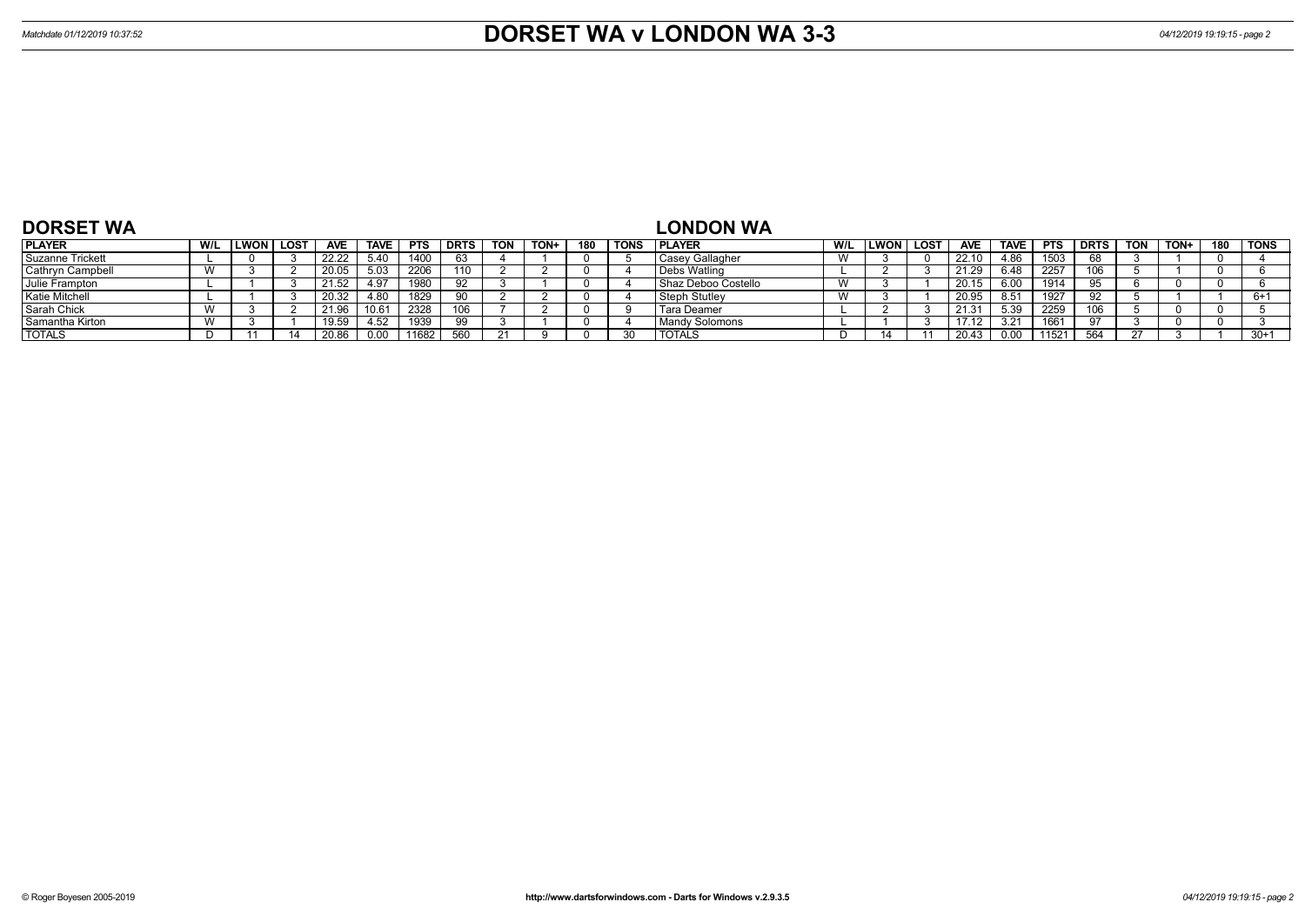| <b>DORSET WA</b>        |              |      |             |            |             |            |             |            |      |     |             | <b>LONDON WA</b>      |     |                  |            |             |            |             |            |      |     |             |
|-------------------------|--------------|------|-------------|------------|-------------|------------|-------------|------------|------|-----|-------------|-----------------------|-----|------------------|------------|-------------|------------|-------------|------------|------|-----|-------------|
| <b>PLAYER</b>           | W/L          | LWON | <b>LOST</b> | <b>AVE</b> | <b>TAVE</b> | <b>PTS</b> | <b>DRTS</b> | <b>TON</b> | TON+ | 180 | <b>TONS</b> | <b>PLAYER</b>         | W/L | <b>LWON LOST</b> | <b>AVE</b> | <b>TAVE</b> | <b>PTS</b> | <b>DRTS</b> | <b>TON</b> | TON+ | 180 | <b>TONS</b> |
| <b>Suzanne Trickett</b> |              |      |             | 22.22      | 5.40        | 1400       | 63          |            |      |     |             | Casey Gallagher       |     |                  | 22.10      | 4.86        | 1503       |             |            |      |     |             |
| Cathryn Campbell        | $\mathbf{M}$ |      |             | 20.05      | 5.03        | 2206       | 110         |            |      |     |             | Debs Watling          |     |                  | 21.29      | 6.48        | 2257       | 106         |            |      |     |             |
| Julie Frampton          |              |      |             | 21.52      | 4.97        | 1980       | 92          |            |      |     |             | I Shaz Deboo Costello |     |                  | 20.15      | 6.00        | 1914       | 95          |            |      |     |             |
| Katie Mitchell          |              |      |             | 20.32      | 4.80        | 1829       | Ωí          |            |      |     |             | Steph Stutley         |     |                  | 20.95      | 8.51        | 1927       |             |            |      |     | 6+1         |
| Sarah Chick             |              |      |             | 21.96      | 10.61       | 2328       |             |            |      |     |             | Tara Deamer           |     |                  | 21.31      | 5.39        | 2259       | 106         |            |      |     |             |
| Samantha Kirton         |              |      |             | 19.59      | 4.52        | 1939       | 99          |            |      |     |             | Mandy Solomons        |     |                  | 17.12      | 3.21        |            |             |            |      |     |             |
| <b>TOTALS</b>           |              |      |             | 20.86      |             | 11682      | 560         |            |      |     |             | <b>TOTALS</b>         |     |                  |            | ი იი        | 11521      | 564         |            |      |     | $30+1$      |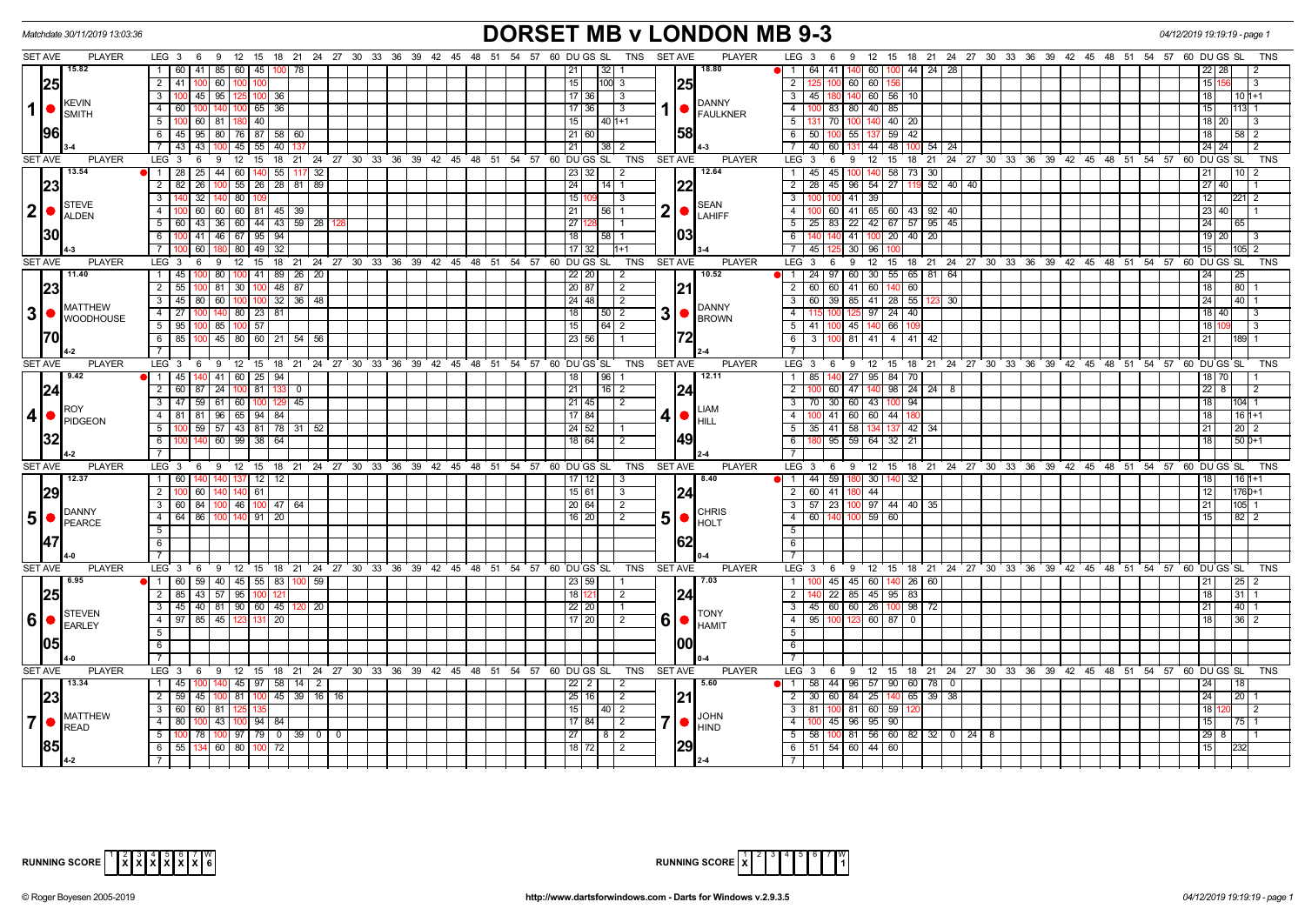



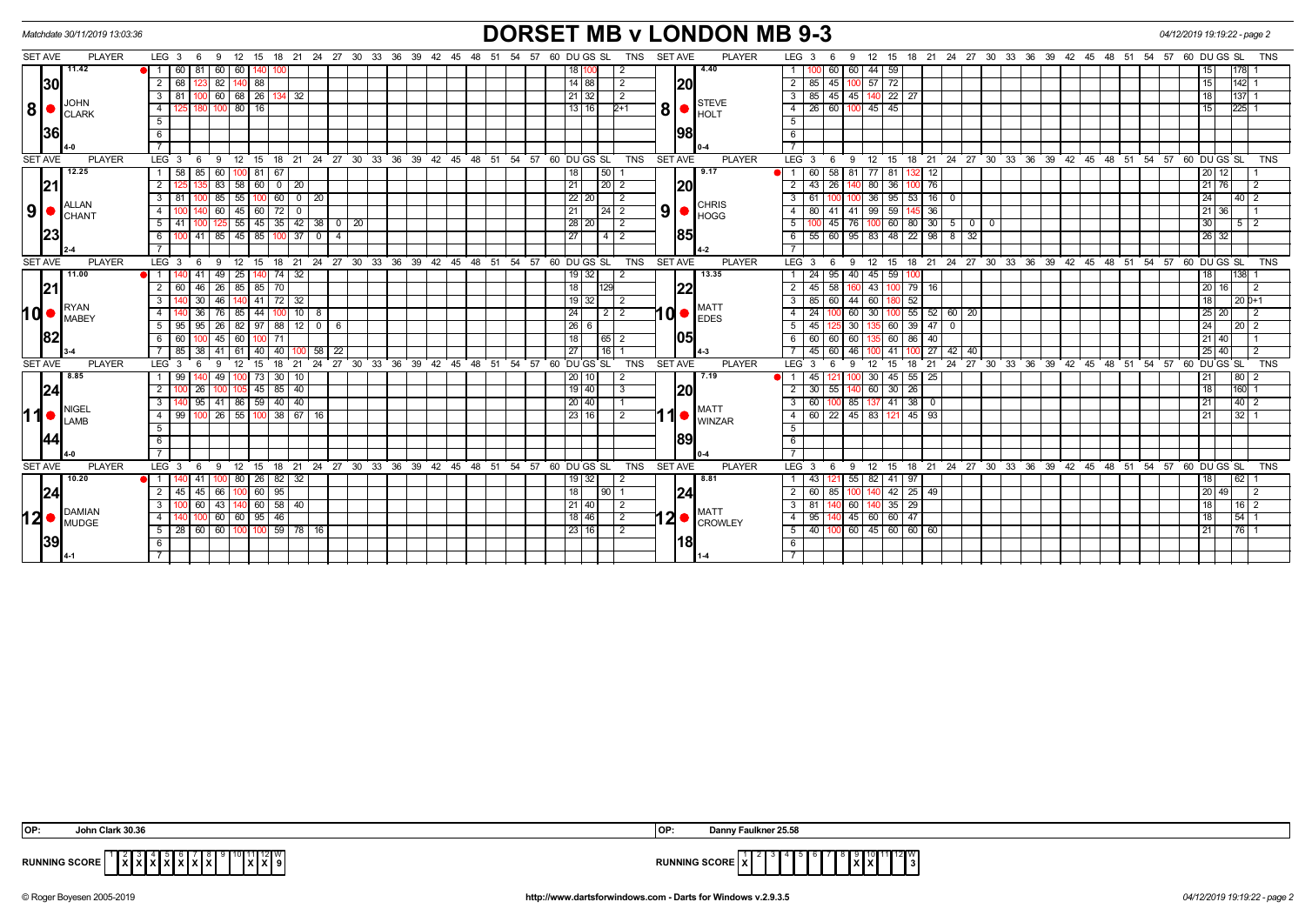## *Matchdate 30/11/2019 13:03:36* **DORSET MB v LONDON MB 9-3** *04/12/2019 19:19:22 - page 2*

| <b>SET AVE</b>  | <b>PLAYER</b>                | LEG <sub>3</sub><br>6                                           |                                       | 9 12 15 18 21 24 27 30 33 36 39 42 45 48 51 54 | 57 60 DU GS SL<br>TNS<br>SET AVE<br><b>PLAYER</b>                                                        | LEG $3 \quad 6$<br>9 12 15 18 21 24 27 30 33 36 39 42 45 48 51 54 57 60 DUGS SL             | <b>TNS</b>                                                               |
|-----------------|------------------------------|-----------------------------------------------------------------|---------------------------------------|------------------------------------------------|----------------------------------------------------------------------------------------------------------|---------------------------------------------------------------------------------------------|--------------------------------------------------------------------------|
|                 | 11.42                        | 81<br>60 60<br>$\overline{1}$<br>60<br>140                      |                                       |                                                | 4.40<br>18                                                                                               | 60 60<br>44 59                                                                              | l178l 1                                                                  |
| 30              |                              | 82 140 88<br>2 68<br>123                                        |                                       |                                                | 20 <br>14 88<br>$\overline{2}$                                                                           | 85 45 100 57 72<br>$\overline{2}$                                                           | 142  1<br>  15                                                           |
|                 | <b>JOHN</b>                  | 26 13<br>3   81<br>60 68<br>100 I                               | 32                                    |                                                | 32<br>21<br>$\overline{2}$<br>STEVE                                                                      | $45 \quad 45$<br>140 22 27<br>3<br>85                                                       | 137 1<br>l 18                                                            |
| 8               | <b>CLARK</b>                 | 16<br>$\overline{4}$<br>180<br>100 80                           |                                       |                                                | 8 <br>13 16 <br>$2+1$<br>HOLT                                                                            | 26 60 100 45 45<br>$-4$                                                                     | $225$ 1<br>  15                                                          |
|                 |                              | 5                                                               |                                       |                                                |                                                                                                          | $5\overline{5}$                                                                             |                                                                          |
| 36              |                              | $6\overline{6}$                                                 |                                       |                                                | 98                                                                                                       | $6\overline{6}$                                                                             |                                                                          |
|                 |                              |                                                                 |                                       |                                                |                                                                                                          | $\overline{7}$                                                                              |                                                                          |
| <b>SET AVE</b>  | <b>PLAYER</b>                | LEG <sub>3</sub><br>6                                           |                                       |                                                | 9 12 15 18 21 24 27 30 33 36 39 42 45 48 51 54 57 60 DUGS SL<br>TNS<br><b>PLAYER</b><br>SET AVE          | LEG 3<br>6<br>ີ 9⊺                                                                          | 12 15 18 21 24 27 30 33 36 39 42 45 48 51 54 57 60 DUGS SL<br><b>TNS</b> |
|                 | 12.25                        | 85<br>60 1<br>$100$ 81<br>1 58                                  | 67                                    |                                                | 50 <br>9.17<br>18                                                                                        | 60<br>58 81<br>77 81<br>12<br><b>e</b> i 1 i<br>132                                         | 20   12                                                                  |
| 21              |                              | $83$ 58 60 0 20<br>2 <sup>1</sup>                               |                                       |                                                | 20 <br>21                                                                                                | $43 \mid 26 \mid$<br>$\overline{2}$<br>80 36<br>76<br>140<br>100                            | 21 76 <br>l 2                                                            |
|                 |                              | 3<br>85<br>55<br>1001                                           | 60<br>$0 \mid 20$                     |                                                | 22<br>20 <sup>2</sup><br>2                                                                               | $\mathbf{3}$<br>36 95 53<br>$16$ 0                                                          | 24<br>$40$   2                                                           |
| 9               | <b>ALLAN</b><br><b>CHANT</b> | 60<br>60<br>45<br>$\overline{4}$                                | 72                                    |                                                | <b>CHRIS</b><br>9<br>21<br>24<br>$\overline{2}$<br><b>HOGG</b>                                           | 80<br>41 41<br>99 59<br>$\overline{4}$<br>36                                                | 21 36                                                                    |
|                 |                              | 5   41<br>1001                                                  | $125$ 55 45 35 42 38 0 20             |                                                | 28 20 <br>$\overline{2}$                                                                                 | $100 \t60 \t80 \t30 \t50$<br>5<br>45 76<br>$\mathbf{0}$                                     | 30 <br>512                                                               |
|                 |                              | 85<br>41<br>85 45<br>6                                          | l 37<br>$\mathbf 0$<br>$\overline{4}$ |                                                | 85 <br>27<br>$\overline{2}$<br>4 <sup>1</sup>                                                            | 60 95<br>22<br>$98$ $8$<br>32<br>55<br>83 48<br>6                                           | 26   32                                                                  |
|                 |                              |                                                                 |                                       |                                                |                                                                                                          | $\overline{7}$                                                                              |                                                                          |
| <b>SET AVE</b>  | <b>PLAYER</b>                | LEG <sub>3</sub><br>12<br>- 9<br>- 6                            |                                       |                                                | 15 18 21 24 27 30 33 36 39 42 45 48 51 54 57 60 DUGS SL<br><b>TNS</b><br><b>SET AVE</b><br><b>PLAYER</b> | $LEG_36$<br>12 15 18 21 24 27 30 33 36 39 42 45 48 51 54 57<br>- 9                          | 60 DU GS SL<br><b>TNS</b>                                                |
|                 | 11.00                        | 41<br>49<br>25                                                  | -32<br>-74                            |                                                | 13.35<br>32<br>19 I                                                                                      | 24<br>40<br>45 59                                                                           | 138I                                                                     |
| 21              |                              | $85$ 70<br>46<br>$26 \mid 85 \mid$<br>2 60                      |                                       |                                                | 22<br>18<br>129                                                                                          | $\overline{2}$<br>43 100 79 16<br>45 58<br>160                                              | 20 16 <br>$\overline{2}$                                                 |
|                 |                              | 30 <sup>2</sup><br>3<br>46<br>140 I                             | $141$ 72 32                           |                                                | 19<br>32<br>2                                                                                            | $\overline{\mathbf{3}}$<br>85 60 44<br>60 180 52                                            | $\sqrt{20}$ <sub>0+1</sub><br>18                                         |
| 10 <sub>1</sub> | <b>RYAN</b>                  | 44<br>36<br>4<br>76   85                                        | 10 <sup>1</sup><br>8                  |                                                | <b>MATT</b><br>$10$ $\bullet$ $\frac{m}{2}$<br>24<br>2 2                                                 | $30 \mid 100 \mid 55 \mid 52 \mid 60 \mid 20$<br>$\overline{4}$<br>24<br>60                 | 25   20                                                                  |
|                 | <b>MABEY</b>                 | $95 \mid 26 \mid 82 \mid 97 \mid 88 \mid 12 \mid 0$ 6<br>5   95 |                                       |                                                | 26<br>6                                                                                                  | 135 60 39 47 0<br>5 <sup>5</sup><br>45 <sub>1</sub><br>125 30                               | l 24 l<br>  20   2                                                       |
| 182             |                              | 6   60<br>45<br>60<br>100                                       | -71                                   |                                                | 1051<br>18<br>  65  <br>$\overline{2}$                                                                   | 60 60<br>6<br>60<br>60 86<br>40                                                             | 21   40                                                                  |
|                 |                              | 38<br>40<br>85<br>41<br>61                                      | 58<br>40<br>22                        |                                                | 27<br>116 I                                                                                              | 46<br>$27$ 42 40<br>$\overline{7}$<br>45<br>60<br>41                                        | 25 40                                                                    |
| <b>SET AVE</b>  | <b>PLAYER</b>                | LEG <sub>3</sub><br>12<br>15<br>$\mathbf{Q}$                    | 21<br>18                              |                                                | 24 27 30 33 36 39 42 45 48 51 54 57 60 DUGS SL<br>TNS<br><b>SET AVE</b><br><b>PLAYER</b>                 | 18 21 24 27 30 33 36 39 42 45 48 51 54 57<br><b>LEG</b><br>12 <sup>2</sup><br>15<br>6<br>-9 | 60 DU GS SL<br><b>TNS</b>                                                |
|                 | 8.85                         | 1   99<br>49<br>l 100.                                          | 73 30 10                              |                                                | 20 10 <br>7.19<br>2                                                                                      | 30 45 55 25<br>45<br>100                                                                    | $80$   2<br> 21                                                          |
| 24              |                              | 26<br>2 <sup>1</sup>                                            | $45 \mid 85 \mid 40$                  |                                                | 20 <br>19 40 <br>$\overline{\mathbf{3}}$                                                                 | 30 <sup>7</sup><br>60 30 26<br>$\overline{2}$<br>55<br>140                                  | 160 1<br>l 18                                                            |
|                 |                              | $95$ 41 86 59 40 40<br>3                                        |                                       |                                                | 20 40                                                                                                    | 137 41 38<br>3 <sup>1</sup><br>60 100 85<br>$\overline{\mathbf{0}}$                         | 40 2<br>l 21                                                             |
| 11              | <b>NIGEL</b>                 | $26 \mid 55 \mid$<br>4   99<br>100 I                            | $100$ 38 67 16                        |                                                | <b>MATT</b><br>. 1<br>23 16 <br>$\overline{2}$                                                           | $\overline{4}$<br>60 22 45 83 121 45 93                                                     | 3211<br> 21                                                              |
|                 | LAMB                         | $5\overline{5}$                                                 |                                       |                                                | <b>WINZAR</b>                                                                                            | 5                                                                                           |                                                                          |
| 144             |                              | 6                                                               |                                       |                                                | 89                                                                                                       | 6                                                                                           |                                                                          |
|                 |                              | $\overline{7}$                                                  |                                       |                                                |                                                                                                          | $\overline{7}$                                                                              |                                                                          |
| <b>SET AVE</b>  | <b>PLAYER</b>                | LEG <sub>3</sub><br>6                                           |                                       |                                                | 9 12 15 18 21 24 27 30 33 36 39 42 45 48 51 54 57 60 DUGSSL<br>TNS<br><b>SET AVE</b><br><b>PLAYER</b>    | LEG 3<br>6<br>- 9                                                                           | 12 15 18 21 24 27 30 33 36 39 42 45 48 51 54 57 60 DUGS SL<br>TNS        |
|                 | 10.20                        | 100 80<br>41                                                    | $26$ 82 32                            |                                                | 8.81<br>$19$ 32                                                                                          | 82 41 97<br>43<br>121 55                                                                    | 62 I                                                                     |
| 24              |                              | 60<br>45<br>2   45<br>66                                        | 95                                    |                                                | 24 <br>18<br>90 <sub>1</sub>                                                                             | 42 25<br>$\overline{2}$<br>60<br>49<br>85                                                   | 20   49                                                                  |
|                 |                              | 60<br>3<br>43   140                                             | 60 58 40                              |                                                | 21 40 <br>$\overline{2}$                                                                                 | 60<br>140 35 29<br>3 I<br>-81                                                               | 16 2<br>l 18                                                             |
| 12 <sub>0</sub> | <b>DAMIAN</b>                | $\overline{4}$<br>60 60                                         | $95 \mid 46$                          |                                                | <b>MATT</b><br> 2 <br>18   46 <br>$\overline{2}$                                                         | 45<br>60 60 47<br>$\overline{4}$<br>95                                                      | 54 1<br>l 18                                                             |
|                 | <b>MUDGE</b>                 | $5 \mid 28 \mid 60 \mid 60 \mid 100$                            | $100$ 59 78 16                        |                                                | <b>CROWLEY</b><br>23   16  <br>2                                                                         | 40 100 60 45 60 60 60<br>5 <sup>5</sup>                                                     | 76 1<br> 21                                                              |
| 139             |                              | -6                                                              |                                       |                                                | 18                                                                                                       | 6                                                                                           |                                                                          |
|                 |                              |                                                                 |                                       |                                                |                                                                                                          | $\overline{7}$                                                                              |                                                                          |
|                 |                              |                                                                 |                                       |                                                |                                                                                                          |                                                                                             |                                                                          |

|                      | .<br>⊿onr<br>. Clark 30.36                | ukner 25.5°.<br>1OP<br>Dan    |
|----------------------|-------------------------------------------|-------------------------------|
| <b>RUNNING SCORE</b> | _______________<br>2 I V<br>.<br>.<br>. . | 12W<br>I 3<br>IINU JUURE<br>. |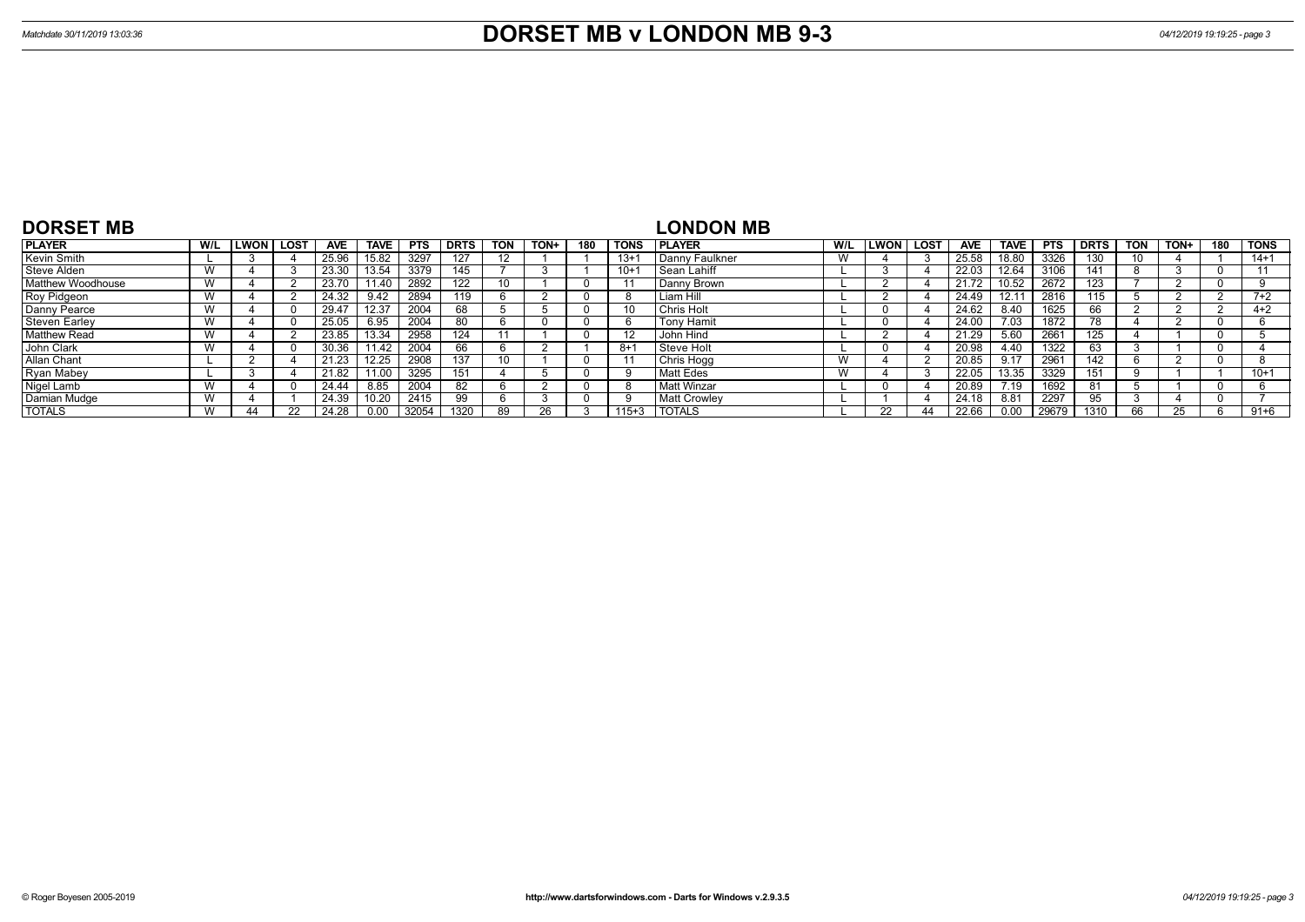| <b>DORSET MB</b>         |     |             |            |             |            |             |     |      |     |             | <b>LONDON MB</b>    |     |        |             |            |                |            |             |            |      |     |                |
|--------------------------|-----|-------------|------------|-------------|------------|-------------|-----|------|-----|-------------|---------------------|-----|--------|-------------|------------|----------------|------------|-------------|------------|------|-----|----------------|
| <b>PLAYER</b>            | W/L | LWON   LOST | <b>AVE</b> | <b>TAVE</b> | <b>PTS</b> | <b>DRTS</b> | TON | TON+ | 180 | <b>TONS</b> | <b>PLAYER</b>       | W/L | l LWON | <b>LOST</b> | <b>AVE</b> | <b>TAVE</b>    | <b>PTS</b> | <b>DRTS</b> | <b>TON</b> | TON+ | 180 | <b>TONS</b>    |
| Kevin Smith              |     |             | 25.96      | 15.82       | 3297       | 127         | 12  |      |     | $13+1$      | Danny Faulkner      | W   |        |             | 25.58      | 18.80          | 3326       | 130         | 10         |      |     | $14 + 1$       |
| Steve Alden              | W   |             | 23.30      | 13.54       | 3379       | 145         |     |      |     | $10+1$      | l Sean Lahiff       |     |        |             | 22.03      | 12.64          | 3106       | 141         |            |      |     | $\overline{A}$ |
| <b>Matthew Woodhouse</b> |     |             | 23.70      | 11.40       | 2892       | 122         | 10  |      |     |             | Danny Brown         |     |        |             | 21.72      | 10.52          | 2672       | 123         |            |      |     |                |
| Roy Pidgeon              | W   |             | 24.32      | 9.42        | 2894       | 119         |     |      |     |             | Liam Hill           |     |        |             | 24.49      | $12.1^{\circ}$ | 2816       | 115         |            |      |     | $7+2$          |
| Danny Pearce             |     |             | 29.47      | 12.37       | 2004       | 68          |     |      |     | 10          | l Chris Holt        |     |        |             | 24.62      | 8.40           | 1625       | 66          |            |      |     | $4 + 2$        |
| <b>Steven Earley</b>     | W   |             | 25.05      | 6.95        | 2004       | 80          |     |      |     |             | <b>Tony Hamit</b>   |     |        |             | 24.00      | 7.03           | 1872       | 78          |            |      |     |                |
| <b>Matthew Read</b>      | W   |             | 23.85      | 13.34       | 2958       | 124         |     |      |     |             | John Hind           |     |        |             | 21.29      | 5.60           | 2661       | 125         |            |      |     |                |
| John Clark               | W   |             | 30.36      | 11.42       | 2004       | 66          |     |      |     | $8+$        | l Steve Holt        |     |        |             | 20.98      | 4.40           | 1322       |             |            |      |     |                |
| Allan Chant              |     |             | 21.23      | 12.25       | 2908       | 137         | 10  |      |     |             | Chris Hogg          | W   |        |             | 20.85      | 9.17           | 2961       | 142         |            |      |     |                |
| Ryan Mabey               |     |             | 21.82      | 11.00       | 3295       |             |     |      |     |             | <b>Matt Edes</b>    | W   |        |             | 22.05      | 13.35          | 3329       | 151         |            |      |     | $10+1$         |
| Nigel Lamb               | W   |             | 24.44      | 8.85        | 2004       | 82          |     |      |     |             | <b>Matt Winzar</b>  |     |        |             | 20.89      | 7.19           | 1692       |             |            |      |     |                |
| Damian Mudge             | W   |             | 24.39      | 10.20       | 2415       | 99          |     |      |     |             | <b>Matt Crowlev</b> |     |        |             | 24.18      | 8.81           | 2297       | 95          |            |      |     |                |
| <b>TOTALS</b>            |     |             | 24.28      |             | 32054      | 1320        | 89  |      |     | $115 + 3$   | <b>TOTALS</b>       |     |        |             | 22.66      | 0.00           | 29679      | 1310        |            |      |     | $91 + 6$       |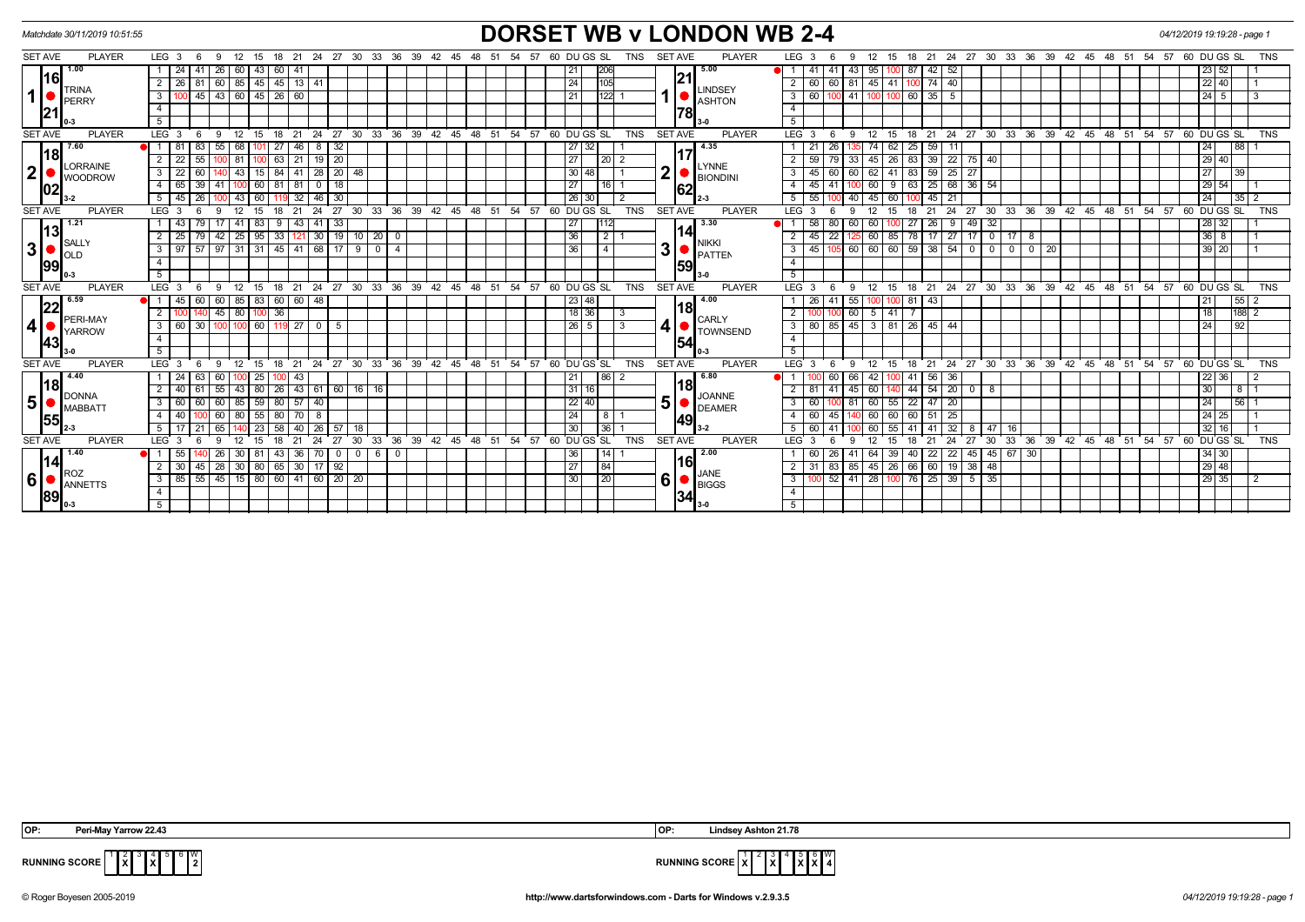| Matchdate 30/11/2019 10:51:55  |                |                                   |                         |                 |                |             |                       |                   |                   |                         |                               |            |                                                      |    |     |                                                               |                |              |                | <b>DORSET WB v LONDON WB 2-4</b> |                |                  |                                 |                  |          |                       |                   |                     |                          |                    |                                           |  |                                                            | 04/12/2019 19:19:28 - page 1 |                    |             |            |
|--------------------------------|----------------|-----------------------------------|-------------------------|-----------------|----------------|-------------|-----------------------|-------------------|-------------------|-------------------------|-------------------------------|------------|------------------------------------------------------|----|-----|---------------------------------------------------------------|----------------|--------------|----------------|----------------------------------|----------------|------------------|---------------------------------|------------------|----------|-----------------------|-------------------|---------------------|--------------------------|--------------------|-------------------------------------------|--|------------------------------------------------------------|------------------------------|--------------------|-------------|------------|
| <b>SET AVE</b>                 | <b>PLAYER</b>  | $LEG_3 6$                         | 9                       | 12 15           |                |             |                       |                   |                   |                         | 18 21 24 27 30 33 36 39 42 45 | 48 51      | 54                                                   | 57 |     | 60 DU GS SL                                                   | TNS            |              | <b>SET AVE</b> | <b>PLAYER</b>                    |                | LEG <sub>3</sub> | 6<br>9                          |                  |          |                       |                   |                     |                          |                    | 12 15 18 21 24 27 30 33 36 39 42 45 48 51 |  | 54<br>57                                                   |                              | 60 DU GS SL        |             | <b>TNS</b> |
| 1.00                           |                | $\vert$ 24 $\vert$                | 41<br>26                | 60              | 43             | 60<br>41    |                       |                   |                   |                         |                               |            |                                                      |    | 211 | 206                                                           |                |              |                | 5.00                             |                | 41               | -41<br>43                       | 95               |          | 87 42                 | 52                |                     |                          |                    |                                           |  |                                                            |                              | 23 52              |             |            |
| l16l                           |                | 2 <sup>1</sup><br>$\sqrt{26}$     | 60<br>81                |                 | 85 45 45       |             | 13 41                 |                   |                   |                         |                               |            |                                                      |    | 24  | 105                                                           |                |              | 21             |                                  |                | 60               | 60 81                           | 45               | 41       | 100 74                | 40                |                     |                          |                    |                                           |  |                                                            |                              | $22$ 40            |             |            |
| <b>TRINA</b><br>1<br>PERRY     |                | $\overline{3}$                    | $45$ $43$ 60 $45$ 26 60 |                 |                |             |                       |                   |                   |                         |                               |            |                                                      |    | 21  | $\boxed{122}$                                                 |                |              |                | LINDSEY<br>ASHTON                | $\mathbf{3}$   | 60               | 100 41                          | 100 <sub>l</sub> |          | 60 35                 | 5                 |                     |                          |                    |                                           |  |                                                            |                              | $24 \mid 5$        |             | l 3        |
| 21                             |                | $\overline{4}$                    |                         |                 |                |             |                       |                   |                   |                         |                               |            |                                                      |    |     |                                                               |                |              | 78             |                                  | $\overline{4}$ |                  |                                 |                  |          |                       |                   |                     |                          |                    |                                           |  |                                                            |                              |                    |             |            |
|                                |                | 5                                 |                         |                 |                |             |                       |                   |                   |                         |                               |            |                                                      |    |     |                                                               |                |              |                |                                  | 5              |                  |                                 |                  |          |                       |                   |                     |                          |                    |                                           |  |                                                            |                              |                    |             |            |
| <b>SET AVE</b>                 | <b>PLAYER</b>  | LEG <sub>3</sub>                  | - 6<br>- 9              | 12 15           |                |             |                       |                   |                   |                         |                               |            | 18 21 24 27 30 33 36 39 42 45 48 51 54 57 60 DUGS SL |    |     |                                                               | <b>TNS</b>     |              | <b>SET AVE</b> | <b>PLAYER</b>                    |                | LEG <sub>3</sub> | - 6<br>- 9                      |                  |          |                       |                   |                     |                          |                    |                                           |  | 12 15 18 21 24 27 30 33 36 39 42 45 48 51 54 57 60 DUGS SL |                              |                    |             | <b>TNS</b> |
| 7.60                           |                |                                   | 83<br>55                | 68 I            |                | 27          | 46 I<br>- 8           | 32                |                   |                         |                               |            |                                                      |    |     | 27 32                                                         |                |              |                | 4.35                             |                | 21               | 26                              | 74               |          | 62 25 59              |                   |                     |                          |                    |                                           |  |                                                            |                              | 24                 | 88          |            |
| 18                             | <b>ORRAINE</b> | $\overline{2}$<br>22              | 55                      | 81              | 100            | 63          |                       | $21$ 19 $20$      |                   |                         |                               |            |                                                      |    | 271 | 1201                                                          | $\overline{2}$ |              |                | <b>LYNNE</b>                     |                | 59               | 79<br>-33                       | 45               |          | 26 83 39              |                   | $22$ 75 40          |                          |                    |                                           |  |                                                            |                              | $29$ 40            |             |            |
| 2 <sup>1</sup>                 | <b>WOODROW</b> | $\overline{3}$<br>22              | 60                      | 43              | 15             | 84          | $41 \mid 28$          | 20                | 48                |                         |                               |            |                                                      |    |     | 30 48                                                         |                | $\mathbf{2}$ |                | <b>BIONDINI</b>                  |                | 45               | 60<br>60                        | 62               | -41      | 59<br>83              | $25 \mid 27$      |                     |                          |                    |                                           |  |                                                            |                              | 27                 | 39          |            |
| 102                            |                | 65<br>$\overline{4}$              | 39<br>41                |                 | 60             | 81<br>81    | $\mathbf 0$           | 18                |                   |                         |                               |            |                                                      |    | 27  | 116                                                           |                |              | 62             |                                  |                | 45               |                                 | 60               | 9        | 25<br>63              |                   | 68 36 54            |                          |                    |                                           |  |                                                            |                              | 29<br>54           |             |            |
|                                |                | 5 <sup>7</sup><br>  45            | 26                      | 43 <sup>1</sup> | 60             |             | 46<br>32              | 30                |                   |                         |                               |            |                                                      |    |     | 26 30                                                         | $\overline{2}$ |              |                |                                  |                | 55               | 40                              | 45               | 60       | 45                    | 21                |                     |                          |                    |                                           |  |                                                            |                              | 24                 | 35 2        |            |
| <b>SET AVE</b>                 | <b>PLAYER</b>  | LEG <sub>3</sub>                  | 6                       | 12              | 15             | 21<br>18    | 24                    | 27                | 30 33             |                         |                               |            | 36 39 42 45 48 51 54 57 60 DUGS SL                   |    |     |                                                               | <b>TNS</b>     |              | <b>SET AVE</b> | <b>PLAYER</b>                    |                | LEG <sub>3</sub> | - 6<br>$\mathbf{q}$             |                  | 15       | 21<br>18              | 24                | 27<br>$30^{\circ}$  |                          |                    | 33 36 39 42 45 48 51                      |  | 54 57                                                      |                              | 60 DU GS SL        |             | <b>TNS</b> |
| 1.21<br> 13                    |                | 43                                | 79<br>17                | 41 I            | 83             | 9           | 43 41                 | 33                |                   |                         |                               |            |                                                      |    | 27  | 1112                                                          |                |              | 14             | 3.30                             |                | 58               | 80<br>60                        | 60               |          | 27 26                 |                   | $9 \mid 49$         | 32                       |                    |                                           |  |                                                            |                              | $\sqrt{28}$ 32     |             |            |
| <b>SALLY</b>                   |                | 25<br>2                           | 42<br>79                | $25 \mid 95$    |                | $\sqrt{33}$ |                       |                   | $121$ 30 19 10 20 | $\overline{\mathbf{0}}$ |                               |            |                                                      |    | 36  | $\begin{array}{c c c c c} \hline 2 & 1 \\ \hline \end{array}$ |                |              |                | NIKKI                            |                | 45               | 22                              | 60               |          | 85 78 17 27 17 0 17 8 |                   |                     |                          |                    |                                           |  |                                                            |                              | $36$   8           |             |            |
| 3 <sup>1</sup><br><b>OLD</b>   |                | $3 \mid 97$                       | 57<br>97                |                 |                |             |                       | 31 31 45 41 68 17 | $900$             | $\overline{4}$          |                               |            |                                                      |    | 36  | $\overline{4}$                                                |                | ا3           |                | PATTEN                           | 3              | 45               | 105 60 60 60 59 38              |                  |          |                       |                   | $54$ 0              | $\overline{\phantom{0}}$ | $0 \mid 0 \mid 20$ |                                           |  |                                                            |                              | 39 20              |             |            |
| 1991                           |                | $\overline{4}$                    |                         |                 |                |             |                       |                   |                   |                         |                               |            |                                                      |    |     |                                                               |                |              | 1591           |                                  | $\overline{4}$ |                  |                                 |                  |          |                       |                   |                     |                          |                    |                                           |  |                                                            |                              |                    |             |            |
|                                |                | 5 <sub>1</sub>                    |                         |                 |                |             |                       |                   |                   |                         |                               |            |                                                      |    |     |                                                               |                |              |                |                                  | 5 <sup>5</sup> |                  |                                 |                  |          |                       |                   |                     |                          |                    |                                           |  |                                                            |                              |                    |             |            |
| <b>SET AVE</b>                 | <b>PLAYER</b>  | $LEG_3$                           | 6<br>9                  | 12 15           |                | 18          |                       |                   |                   |                         |                               |            | 21 24 27 30 33 36 39 42 45 48 51 54 57 60 DUGS SL    |    |     |                                                               | <b>TNS</b>     |              | <b>SET AVE</b> | <b>PLAYER</b>                    |                | LEG <sub>3</sub> | 6<br>- 9                        |                  |          |                       |                   |                     |                          |                    |                                           |  | 12 15 18 21 24 27 30 33 36 39 42 45 48 51 54 57 60 DUGS SL |                              |                    |             | TNS        |
| 6.59<br>22                     |                | 45 I<br>$\blacksquare$            | 60<br>60                |                 | 85 83 60 60 48 |             |                       |                   |                   |                         |                               |            |                                                      |    |     | 23 48                                                         |                |              | 18             | 4.00                             |                | 26               | 41<br>55                        | 1001             |          | $81 \overline{)43}$   |                   |                     |                          |                    |                                           |  |                                                            |                              | 21                 | 55 2        |            |
| PERI-MAY                       |                | 2   100                           | 140                     | 45 80 100 36    |                |             |                       |                   |                   |                         |                               |            |                                                      |    |     | $18$ 36                                                       | l 3            |              |                | CARLY                            | $\overline{2}$ |                  | 100 60                          | $5 \mid 41$      |          |                       |                   |                     |                          |                    |                                           |  |                                                            |                              | 18                 | 188 2       |            |
| 4 <sup>1</sup><br>YARROW       |                | $\overline{3}$<br>$\overline{60}$ | 30                      | 100 100         | 60 119 27 0    |             |                       | - 5               |                   |                         |                               |            |                                                      |    |     | $26$   5                                                      | 3              | $\vert$      |                | <b>TOWNSEND</b>                  | 3              | 80               | 85   45   3   81   26   45   44 |                  |          |                       |                   |                     |                          |                    |                                           |  |                                                            |                              | 24                 | $\sqrt{92}$ |            |
| <b>143</b>                     |                | $\overline{4}$                    |                         |                 |                |             |                       |                   |                   |                         |                               |            |                                                      |    |     |                                                               |                |              | 54             |                                  | $\overline{4}$ |                  |                                 |                  |          |                       |                   |                     |                          |                    |                                           |  |                                                            |                              |                    |             |            |
|                                |                | 5 <sup>5</sup>                    |                         |                 |                |             |                       |                   |                   |                         |                               |            |                                                      |    |     |                                                               | <b>TNS</b>     |              |                |                                  | 5 <sup>5</sup> |                  |                                 |                  |          |                       |                   |                     |                          |                    |                                           |  |                                                            |                              |                    |             |            |
| <b>SET AVE</b><br>4.40         | <b>PLAYER</b>  | LEG <sub>3</sub>                  | - 6                     | 12              | 15             | 21<br>18    | $^{\circ}$ 24         | 27                |                   | 30 33 36                | $39 \quad 42 \quad 45$        | $48$ 51 54 |                                                      |    |     | 57 60 DU GS SL<br> 86                                         |                |              | <b>SET AVE</b> | <b>PLAYER</b><br>6.80            |                | LEG <sub>3</sub> | - 6<br>9                        | 12               | 15       | 21<br>- 18            | 24                |                     |                          |                    | 27 30 33 36 39 42 45 48 51                |  | $54 \overline{\smash{\big)}\ 57}$                          |                              | 60 DU GS SL        |             | <b>TNS</b> |
| 18                             |                | -24<br>2<br>40                    | 63<br>60<br>55<br>61    | 43 <sup>1</sup> | 25<br>80       | 26          | 43<br>43   61         | 60                | 16 16             |                         |                               |            |                                                      |    | 21  | 31 16                                                         |                |              | 18             |                                  |                | 81               | 60<br>45                        | 42<br>60         |          | $41 \ 56$<br>44 54    | 36<br>$20 \mid 0$ |                     | 8                        |                    |                                           |  |                                                            |                              | $22 \mid 36$<br>30 | 81          |            |
| <b>DONNA</b><br>5 <sup>1</sup> |                |                                   | 60<br>60                | 85              | 59             | 80          | 57<br>40              |                   |                   |                         |                               |            |                                                      |    |     | $22$ 40                                                       |                | 5            |                | <b>JOANNE</b>                    |                | 60               |                                 | 60               |          | $55$ 22 47            | 20                |                     |                          |                    |                                           |  |                                                            |                              | 24                 | 56 1        |            |
| MABBAT1                        |                | 3<br>60<br>$\overline{4}$<br>  40 |                         |                 | 55             |             | 70 I<br>- 8           |                   |                   |                         |                               |            |                                                      |    | 24  |                                                               |                |              |                | DEAMER                           |                | 60               | 45                              | 60               |          | 60 51                 | 25                |                     |                          |                    |                                           |  |                                                            |                              | 24 25              |             |            |
| <b>155</b>                     |                |                                   | 60<br>65                | -80 I           | 23             | 80<br>58    | 26<br>40 <sup>1</sup> | 57                | 18                |                         |                               |            |                                                      |    | 30  | 36                                                            |                |              | 49             | l 3-2                            | 5              | 60               |                                 | 60               | 60<br>55 | 41                    | 32                |                     | 47                       |                    |                                           |  |                                                            |                              | 32<br>16           |             |            |
| <b>SET AVE</b>                 | <b>PLAYER</b>  | LEG <sub>3</sub>                  | -6                      | 12              | 15             | 18<br>21    | 24                    | 27                | 30                | 36<br>33                | 39 42 45 48 51                |            | 54 57 60 DU GS SL                                    |    |     |                                                               | <b>TNS</b>     |              | <b>SET AVE</b> | <b>PLAYER</b>                    |                | LEG <sub>3</sub> | 6<br>۰Q                         | 12               | 15       | 18<br>21              | 24                | 27                  | 16<br>33<br>30           |                    | 36 39 42 45 48 51                         |  | $54 \quad 57$                                              |                              | 60 DU GS SL        |             | <b>TNS</b> |
| 1.40                           |                | 55                                | 26                      | 30              | 81             | 43          | 36 70                 | $\mathbf 0$       | $0 \mid 6$        | $\mathbf 0$             |                               |            |                                                      |    | 36  | 14                                                            |                |              |                | 2.00                             |                | 60               | 26<br>41                        | 64               |          | 39 40 22              |                   | 22 45 45 67 30      |                          |                    |                                           |  |                                                            |                              | 34 30              |             |            |
| 114                            |                | 30<br>2                           | 45<br>28                | 30 <sup>1</sup> | 80             | 65          | 30 <sup>1</sup><br>17 | 92                |                   |                         |                               |            |                                                      |    | 27  | 84                                                            |                |              | 16             |                                  |                | 31               | 83<br>85                        | 45               | 26       | 66 60                 |                   | $19$ 38             | 48                       |                    |                                           |  |                                                            |                              | $29$ 48            |             |            |
| <b>ROZ</b><br>6 <sup>1</sup>   |                | 85<br>3                           |                         |                 |                |             |                       |                   |                   |                         |                               |            |                                                      |    | 30  | $\overline{20}$                                               |                | 6            |                | JANE                             | 3              |                  | 52<br>41                        | 28               |          | 76 25                 |                   | $39 \mid 5 \mid 35$ |                          |                    |                                           |  |                                                            |                              | 29 35              |             | $\sqrt{2}$ |
| ANNETTS                        |                | $\overline{4}$                    |                         |                 |                |             |                       |                   |                   |                         |                               |            |                                                      |    |     |                                                               |                |              |                | $\blacksquare$ BIGGS             |                |                  |                                 |                  |          |                       |                   |                     |                          |                    |                                           |  |                                                            |                              |                    |             |            |
| 89<br>0-3                      |                |                                   |                         |                 |                |             |                       |                   |                   |                         |                               |            |                                                      |    |     |                                                               |                |              | 34             | l 3-0                            | 5 <sup>5</sup> |                  |                                 |                  |          |                       |                   |                     |                          |                    |                                           |  |                                                            |                              |                    |             |            |
|                                |                |                                   |                         |                 |                |             |                       |                   |                   |                         |                               |            |                                                      |    |     |                                                               |                |              |                |                                  |                |                  |                                 |                  |          |                       |                   |                     |                          |                    |                                           |  |                                                            |                              |                    |             |            |

**X** 4 **X** 6 W

$$
\frac{1}{2}
$$
 **subning** score  $\frac{1}{x}$   $\frac{2}{x}$   $\frac{3}{x}$   $\frac{4}{x}$   $\frac{5}{x}$   $\frac{6}{x}$   $\frac{1}{x}$ 

**RUNNING SCORE**